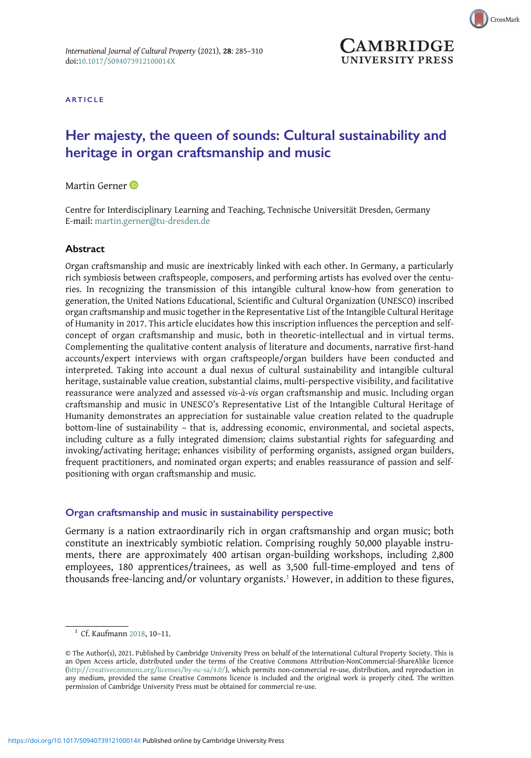

CrossMark

ARTICLE

# Her majesty, the queen of sounds: Cultural sustainability and heritage in organ craftsmanship and music

# Martin Gerner<sup>D</sup>

Centre for Interdisciplinary Learning and Teaching, Technische Universität Dresden, Germany E-mail: [martin.gerner@tu-dresden.de](mailto:martin.gerner@tu-dresden.de)

### Abstract

Organ craftsmanship and music are inextricably linked with each other. In Germany, a particularly rich symbiosis between craftspeople, composers, and performing artists has evolved over the centuries. In recognizing the transmission of this intangible cultural know-how from generation to generation, the United Nations Educational, Scientific and Cultural Organization (UNESCO) inscribed organ craftsmanship and music together in the Representative List of the Intangible Cultural Heritage of Humanity in 2017. This article elucidates how this inscription influences the perception and selfconcept of organ craftsmanship and music, both in theoretic-intellectual and in virtual terms. Complementing the qualitative content analysis of literature and documents, narrative first-hand accounts/expert interviews with organ craftspeople/organ builders have been conducted and interpreted. Taking into account a dual nexus of cultural sustainability and intangible cultural heritage, sustainable value creation, substantial claims, multi-perspective visibility, and facilitative reassurance were analyzed and assessed vis-à-vis organ craftsmanship and music. Including organ craftsmanship and music in UNESCO's Representative List of the Intangible Cultural Heritage of Humanity demonstrates an appreciation for sustainable value creation related to the quadruple bottom-line of sustainability – that is, addressing economic, environmental, and societal aspects, including culture as a fully integrated dimension; claims substantial rights for safeguarding and invoking/activating heritage; enhances visibility of performing organists, assigned organ builders, frequent practitioners, and nominated organ experts; and enables reassurance of passion and selfpositioning with organ craftsmanship and music.

### Organ craftsmanship and music in sustainability perspective

Germany is a nation extraordinarily rich in organ craftsmanship and organ music; both constitute an inextricably symbiotic relation. Comprising roughly 50,000 playable instruments, there are approximately 400 artisan organ-building workshops, including 2,800 employees, 180 apprentices/trainees, as well as 3,500 full-time-employed and tens of thousands free-lancing and/or voluntary organists.<sup>1</sup> However, in addition to these figures,

<sup>1</sup> Cf. Kaufmann [2018,](#page-21-0) 10–11.

<sup>©</sup> The Author(s), 2021. Published by Cambridge University Press on behalf of the International Cultural Property Society. This is an Open Access article, distributed under the terms of the Creative Commons Attribution-NonCommercial-ShareAlike licence [\(http://creativecommons.org/licenses/by-nc-sa/4.0/\)](http://creativecommons.org/licenses/by-nc-sa/4.0/), which permits non-commercial re-use, distribution, and reproduction in any medium, provided the same Creative Commons licence is included and the original work is properly cited. The written permission of Cambridge University Press must be obtained for commercial re-use.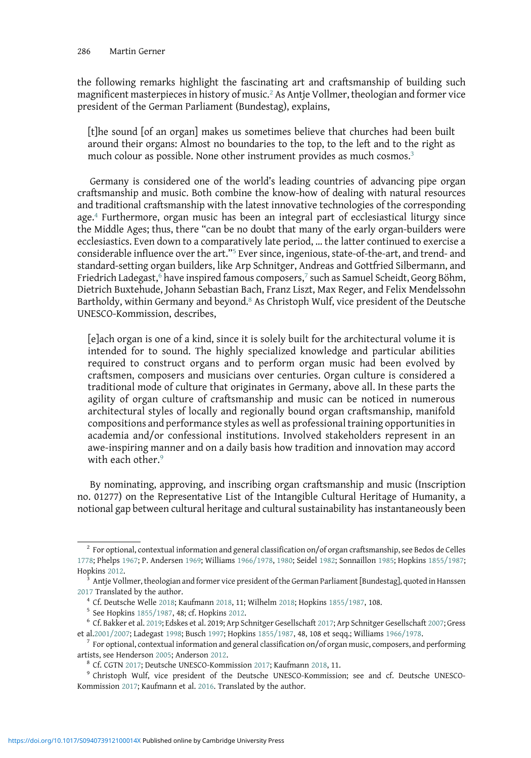the following remarks highlight the fascinating art and craftsmanship of building such magnificent masterpieces in history of music.<sup>2</sup> As Antje Vollmer, theologian and former vice president of the German Parliament (Bundestag), explains,

[t]he sound [of an organ] makes us sometimes believe that churches had been built around their organs: Almost no boundaries to the top, to the left and to the right as much colour as possible. None other instrument provides as much cosmos.<sup>3</sup>

Germany is considered one of the world's leading countries of advancing pipe organ craftsmanship and music. Both combine the know-how of dealing with natural resources and traditional craftsmanship with the latest innovative technologies of the corresponding age.<sup>4</sup> Furthermore, organ music has been an integral part of ecclesiastical liturgy since the Middle Ages; thus, there "can be no doubt that many of the early organ-builders were ecclesiastics. Even down to a comparatively late period, … the latter continued to exercise a considerable influence over the art."<sup>5</sup> Ever since, ingenious, state-of-the-art, and trend- and standard-setting organ builders, like Arp Schnitger, Andreas and Gottfried Silbermann, and Friedrich Ladegast, $6$  have inspired famous composers, $7$  such as Samuel Scheidt, Georg Böhm, Dietrich Buxtehude, Johann Sebastian Bach, Franz Liszt, Max Reger, and Felix Mendelssohn Bartholdy, within Germany and beyond.<sup>8</sup> As Christoph Wulf, vice president of the Deutsche UNESCO-Kommission, describes,

[e]ach organ is one of a kind, since it is solely built for the architectural volume it is intended for to sound. The highly specialized knowledge and particular abilities required to construct organs and to perform organ music had been evolved by craftsmen, composers and musicians over centuries. Organ culture is considered a traditional mode of culture that originates in Germany, above all. In these parts the agility of organ culture of craftsmanship and music can be noticed in numerous architectural styles of locally and regionally bound organ craftsmanship, manifold compositions and performance styles as well as professional training opportunities in academia and/or confessional institutions. Involved stakeholders represent in an awe-inspiring manner and on a daily basis how tradition and innovation may accord with each other.<sup>9</sup>

By nominating, approving, and inscribing organ craftsmanship and music (Inscription no. 01277) on the Representative List of the Intangible Cultural Heritage of Humanity, a notional gap between cultural heritage and cultural sustainability has instantaneously been

<sup>&</sup>lt;sup>2</sup> For optional, contextual information and general classification on/of organ craftsmanship, see Bedos de Celles [1778](#page-18-0); Phelps [1967;](#page-23-0) P. Andersen [1969;](#page-18-0) Williams [1966/1978,](#page-25-0) [1980;](#page-25-0) Seidel [1982](#page-23-0); Sonnaillon [1985;](#page-24-0) Hopkins [1855/1987](#page-21-0); Hopkins [2012](#page-21-0). <sup>3</sup> Antje Vollmer, theologian and former vice president of the German Parliament [Bundestag], quoted in Hanssen

[<sup>2017</sup>](#page-18-0) Translated by the author.<br>
<sup>4</sup> Cf. Deutsche Welle [2018;](#page-25-0) Kaufmann [2018](#page-21-0), 11; Wilhelm 2018; Hopkins [1855/1987,](#page-21-0) 108.<br>
<sup>5</sup> See Hopkins 1855/1987, 48; cf. Hopkins [2012](#page-21-0).<br>
<sup>6</sup> Cf. Bakker et al. [2019;](#page-18-0) Edskes et al. 2019; Arp

et al[.2001/2007](#page-20-0); Ladegast [1998](#page-22-0); Busch [1997](#page-19-0); Hopkins [1855/1987,](#page-21-0) 48, 108 et seqq.; Williams [1966/1978.](#page-25-0) <sup>7</sup> For optional, contextual information and general classification on/of organ music, composers, and performing

artists, see Henderson [2005;](#page-21-0) Anderson [2012.](#page-18-0)<br><sup>8</sup> Cf. CGTN [2017;](#page-19-0) Deutsche UNESCO-Kommission [2017](#page-19-0); Kaufmann [2018](#page-21-0), 11.<br><sup>9</sup> Christoph Wulf, vice president of the Deutsche UNESCO-Kommission; see and cf. Deutsche UNESCO-

Kommission [2017;](#page-19-0) Kaufmann et al. [2016.](#page-21-0) Translated by the author.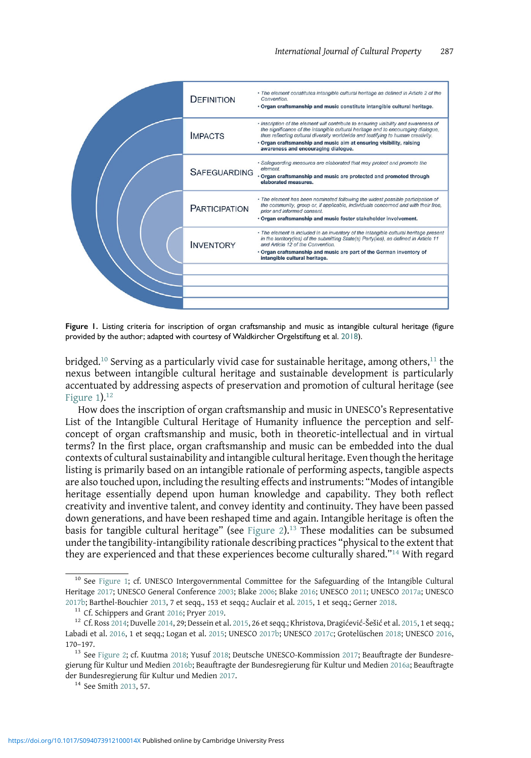

Figure 1. Listing criteria for inscription of organ craftsmanship and music as intangible cultural heritage (figure provided by the author; adapted with courtesy of Waldkircher Orgelstiftung et al. [2018\)](#page-25-0).

bridged.<sup>10</sup> Serving as a particularly vivid case for sustainable heritage, among others,<sup>11</sup> the nexus between intangible cultural heritage and sustainable development is particularly accentuated by addressing aspects of preservation and promotion of cultural heritage (see Figure  $1$ ).<sup>12</sup>

How does the inscription of organ craftsmanship and music in UNESCO's Representative List of the Intangible Cultural Heritage of Humanity influence the perception and selfconcept of organ craftsmanship and music, both in theoretic-intellectual and in virtual terms? In the first place, organ craftsmanship and music can be embedded into the dual contexts of cultural sustainability and intangible cultural heritage. Even though the heritage listing is primarily based on an intangible rationale of performing aspects, tangible aspects are also touched upon, including the resulting effects and instruments: "Modes of intangible heritage essentially depend upon human knowledge and capability. They both reflect creativity and inventive talent, and convey identity and continuity. They have been passed down generations, and have been reshaped time and again. Intangible heritage is often the basis for tangible cultural heritage" (see [Figure 2](#page-3-0)).<sup>13</sup> These modalities can be subsumed under the tangibility-intangibility rationale describing practices "physical to the extent that they are experienced and that these experiences become culturally shared."<sup>14</sup> With regard

<sup>&</sup>lt;sup>10</sup> See Figure 1; cf. UNESCO Intergovernmental Committee for the Safeguarding of the Intangible Cultural Heritage [2017](#page-24-0); UNESCO General Conference [2003;](#page-24-0) Blake [2006;](#page-19-0) Blake [2016;](#page-19-0) UNESCO [2011;](#page-24-0) UNESCO [2017a;](#page-24-0) UNESCO 2017a; UNESCO<br>2017b; Barthel-Bouchier 2013, 7 et seqq., 153 et seqq.; Auclair et al. 2015, 1 et seqq.; Gerner 2018.

<sup>&</sup>lt;sup>11</sup> Cf. Schippers and Grant 2016; Pryer 2019.<br><sup>12</sup> Cf. Ross 2014; Duvelle 2014, 29; Dessein et al. [2015,](#page-19-0) 26 et seqq.; Khristova, Dragićević-Šešić et al. [2015](#page-21-0), 1 et seqq.; Labadi et al. [2016,](#page-22-0) 1 et seqq.; Logan et al. [2015](#page-22-0); UNESCO [2017b](#page-24-0); UNESCO [2017c;](#page-24-0) Grotelüschen [2018;](#page-21-0) UNESCO [2016,](#page-24-0) 170–197.

<sup>13</sup> See [Figure 2;](#page-3-0) cf. Kuutma [2018;](#page-22-0) Yusuf [2018;](#page-25-0) Deutsche UNESCO-Kommission [2017;](#page-19-0) Beauftragte der Bundesregierung für Kultur und Medien [2016b;](#page-18-0) Beauftragte der Bundesregierung für Kultur und Medien [2016a](#page-18-0); Beauftragte der Bundesregierung für Kultur und Medien [2017](#page-18-0).<br><sup>14</sup> See Smith [2013](#page-24-0), 57.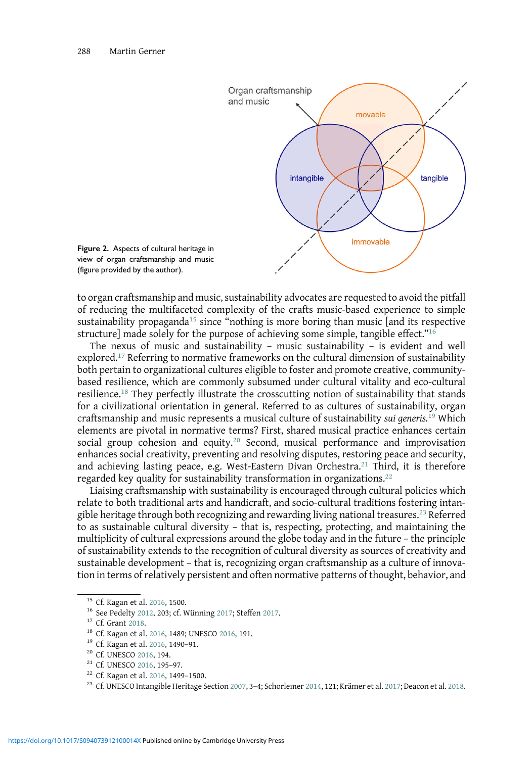<span id="page-3-0"></span>

Figure 2. Aspects of cultural heritage in view of organ craftsmanship and music (figure provided by the author).

to organ craftsmanship and music, sustainability advocates are requested to avoid the pitfall of reducing the multifaceted complexity of the crafts music-based experience to simple sustainability propaganda<sup>15</sup> since "nothing is more boring than music [and its respective structure] made solely for the purpose of achieving some simple, tangible effect."<sup>16</sup>

The nexus of music and sustainability – music sustainability – is evident and well explored.<sup>17</sup> Referring to normative frameworks on the cultural dimension of sustainability both pertain to organizational cultures eligible to foster and promote creative, communitybased resilience, which are commonly subsumed under cultural vitality and eco-cultural resilience.<sup>18</sup> They perfectly illustrate the crosscutting notion of sustainability that stands for a civilizational orientation in general. Referred to as cultures of sustainability, organ craftsmanship and music represents a musical culture of sustainability sui generis.<sup>19</sup> Which elements are pivotal in normative terms? First, shared musical practice enhances certain social group cohesion and equity.<sup>20</sup> Second, musical performance and improvisation enhances social creativity, preventing and resolving disputes, restoring peace and security, and achieving lasting peace, e.g. West-Eastern Divan Orchestra.<sup>21</sup> Third, it is therefore regarded key quality for sustainability transformation in organizations.<sup>22</sup>

Liaising craftsmanship with sustainability is encouraged through cultural policies which relate to both traditional arts and handicraft, and socio-cultural traditions fostering intangible heritage through both recognizing and rewarding living national treasures.<sup>23</sup> Referred to as sustainable cultural diversity – that is, respecting, protecting, and maintaining the multiplicity of cultural expressions around the globe today and in the future – the principle of sustainability extends to the recognition of cultural diversity as sources of creativity and sustainable development – that is, recognizing organ craftsmanship as a culture of innovation in terms of relatively persistent and often normative patterns of thought, behavior, and

<sup>&</sup>lt;sup>15</sup> Cf. Kagan et al. [2016,](#page-21-0) 1500.<br>
<sup>16</sup> See Pedelty [2012](#page-23-0), 203; cf. Wünning [2017;](#page-25-0) Steffen [2017](#page-22-0).<br>
<sup>17</sup> Cf. Grant [2018.](#page-20-0)<br>
<sup>18</sup> Cf. Kagan et al. [2016](#page-24-0), 1489; UNESCO 2016, 191.<br>
<sup>19</sup> Cf. Kagan et al. 2016, 1490–91.<br>
<sup>20</sup> Cf. UNE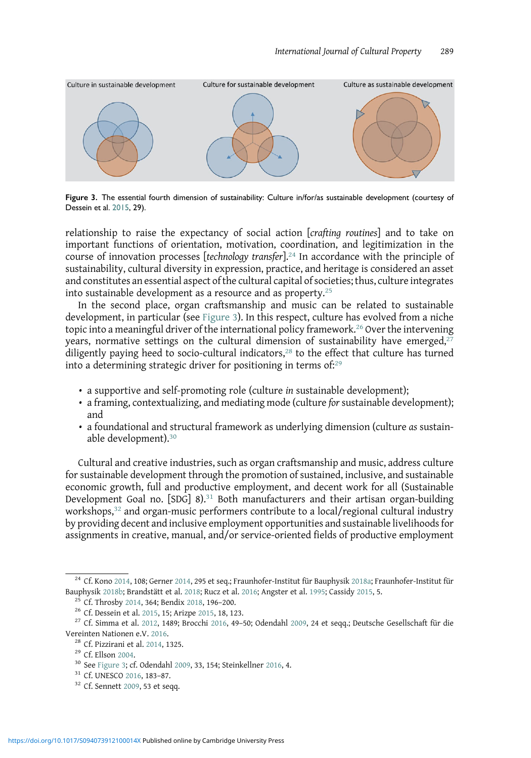

Figure 3. The essential fourth dimension of sustainability: Culture in/for/as sustainable development (courtesy of Dessein et al. [2015,](#page-19-0) 29).

relationship to raise the expectancy of social action [crafting routines] and to take on important functions of orientation, motivation, coordination, and legitimization in the course of innovation processes [technology transfer].<sup>24</sup> In accordance with the principle of sustainability, cultural diversity in expression, practice, and heritage is considered an asset and constitutes an essential aspect of the cultural capital of societies; thus, culture integrates into sustainable development as a resource and as property. $25$ 

In the second place, organ craftsmanship and music can be related to sustainable development, in particular (see Figure 3). In this respect, culture has evolved from a niche topic into a meaningful driver of the international policy framework.<sup>26</sup> Over the intervening years, normative settings on the cultural dimension of sustainability have emerged, $27$ diligently paying heed to socio-cultural indicators,<sup>28</sup> to the effect that culture has turned into a determining strategic driver for positioning in terms of:<sup>29</sup>

- a supportive and self-promoting role (culture in sustainable development);
- a framing, contextualizing, and mediating mode (culture for sustainable development); and
- a foundational and structural framework as underlying dimension (culture as sustainable development).<sup>30</sup>

Cultural and creative industries, such as organ craftsmanship and music, address culture for sustainable development through the promotion of sustained, inclusive, and sustainable economic growth, full and productive employment, and decent work for all (Sustainable Development Goal no.  $[SDG]$  8).<sup>31</sup> Both manufacturers and their artisan organ-building workshops,<sup>32</sup> and organ-music performers contribute to a local/regional cultural industry by providing decent and inclusive employment opportunities and sustainable livelihoods for assignments in creative, manual, and/or service-oriented fields of productive employment

 $^{24}$  Cf. Kono [2014](#page-22-0), 108; Gerner [2014,](#page-20-0) 295 et seq.; Fraunhofer-Institut für Bauphysik [2018a](#page-20-0); Fraunhofer-Institut für Bauphysik [2018b;](#page-20-0) Brandstätt et al. [2018;](#page-19-0) Rucz et al. [2016](#page-19-0); Angster et al. [1995;](#page-18-0) Cassidy [2015,](#page-19-0) 5.<br><sup>25</sup> Cf. Throsby [2014,](#page-24-0) 364; Bendix [2018](#page-19-0), 196–200.<br><sup>26</sup> Cf. Dessein et al. [2015](#page-18-0), 15; Arizpe 2015, 18, 123.<br><sup>27</sup> Cf. Simma et a

Vereinten Nationen e.V. [2016](#page-24-0).<br><sup>28</sup> Cf. Pizzirani et al. [2014,](#page-23-0) 1325.<br><sup>29</sup> Cf. Ellson [2004.](#page-20-0)<br><sup>30</sup> See Figure 3; cf. Odendahl [2009,](#page-22-0) 33, 154; Steinkellner 2016, 4.<br><sup>31</sup> Cf. UNESCO 2016, 183–87.<br><sup>32</sup> Cf. Sennett [2009](#page-23-0), 53 et seqq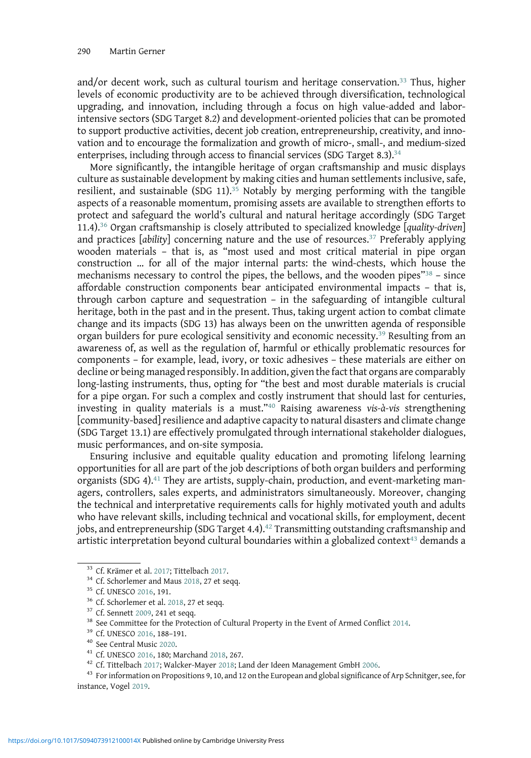and/or decent work, such as cultural tourism and heritage conservation.<sup>33</sup> Thus, higher levels of economic productivity are to be achieved through diversification, technological upgrading, and innovation, including through a focus on high value-added and laborintensive sectors (SDG Target 8.2) and development-oriented policies that can be promoted to support productive activities, decent job creation, entrepreneurship, creativity, and innovation and to encourage the formalization and growth of micro-, small-, and medium-sized enterprises, including through access to financial services (SDG Target 8.3).<sup>34</sup>

More significantly, the intangible heritage of organ craftsmanship and music displays culture as sustainable development by making cities and human settlements inclusive, safe, resilient, and sustainable (SDG 11).<sup>35</sup> Notably by merging performing with the tangible aspects of a reasonable momentum, promising assets are available to strengthen efforts to protect and safeguard the world's cultural and natural heritage accordingly (SDG Target 11.4).<sup>36</sup> Organ craftsmanship is closely attributed to specialized knowledge [quality-driven] and practices  $[a\text{bility}]$  concerning nature and the use of resources.<sup>37</sup> Preferably applying wooden materials – that is, as "most used and most critical material in pipe organ construction … for all of the major internal parts: the wind-chests, which house the mechanisms necessary to control the pipes, the bellows, and the wooden pipes $\frac{38}{3}$  – since affordable construction components bear anticipated environmental impacts – that is, through carbon capture and sequestration – in the safeguarding of intangible cultural heritage, both in the past and in the present. Thus, taking urgent action to combat climate change and its impacts (SDG 13) has always been on the unwritten agenda of responsible organ builders for pure ecological sensitivity and economic necessity.<sup>39</sup> Resulting from an awareness of, as well as the regulation of, harmful or ethically problematic resources for components – for example, lead, ivory, or toxic adhesives – these materials are either on decline or being managed responsibly. In addition, given the fact that organs are comparably long-lasting instruments, thus, opting for "the best and most durable materials is crucial for a pipe organ. For such a complex and costly instrument that should last for centuries, investing in quality materials is a must."<sup>40</sup> Raising awareness vis-à-vis strengthening [community-based] resilience and adaptive capacity to natural disasters and climate change (SDG Target 13.1) are effectively promulgated through international stakeholder dialogues, music performances, and on-site symposia.

Ensuring inclusive and equitable quality education and promoting lifelong learning opportunities for all are part of the job descriptions of both organ builders and performing organists (SDG 4). $41$  They are artists, supply-chain, production, and event-marketing managers, controllers, sales experts, and administrators simultaneously. Moreover, changing the technical and interpretative requirements calls for highly motivated youth and adults who have relevant skills, including technical and vocational skills, for employment, decent jobs, and entrepreneurship (SDG Target 4.4). $42$  Transmitting outstanding craftsmanship and artistic interpretation beyond cultural boundaries within a globalized context $43$  demands a

<sup>&</sup>lt;sup>33</sup> Cf. Krämer et al. [2017](#page-24-0); Tittelbach 2017.<br><sup>34</sup> Cf. Schorlemer and Maus [2018,](#page-23-0) 27 et seqq.<br><sup>35</sup> Cf. UNESCO [2016](#page-24-0), 191.<br><sup>36</sup> Cf. Schorlemer et al. [2018](#page-25-0), 27 et seqq.<br><sup>37</sup> Cf. Sennett [2009,](#page-23-0) 241 et seqq.<br><sup>38</sup> See Committee fo instance, Vogel [2019](#page-24-0).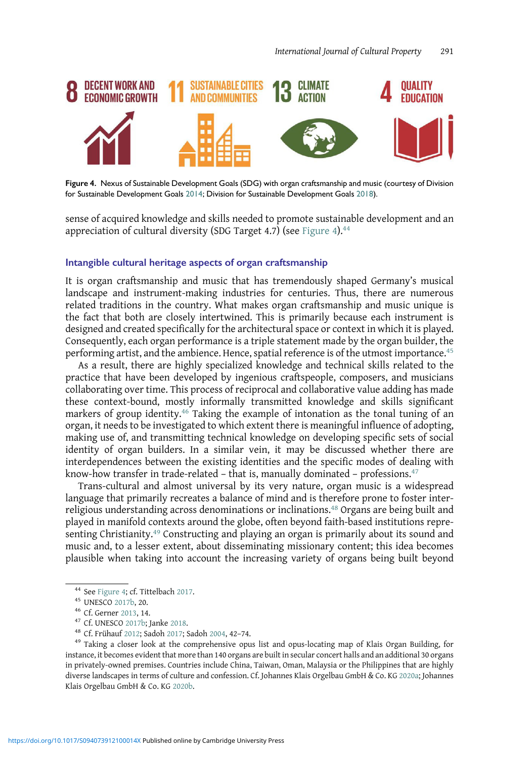

Figure 4. Nexus of Sustainable Development Goals (SDG) with organ craftsmanship and music (courtesy of Division for Sustainable Development Goals [2014](#page-20-0); Division for Sustainable Development Goals [2018](#page-20-0)).

sense of acquired knowledge and skills needed to promote sustainable development and an appreciation of cultural diversity (SDG Target 4.7) (see Figure 4). $44$ 

#### Intangible cultural heritage aspects of organ craftsmanship

It is organ craftsmanship and music that has tremendously shaped Germany's musical landscape and instrument-making industries for centuries. Thus, there are numerous related traditions in the country. What makes organ craftsmanship and music unique is the fact that both are closely intertwined. This is primarily because each instrument is designed and created specifically for the architectural space or context in which it is played. Consequently, each organ performance is a triple statement made by the organ builder, the performing artist, and the ambience. Hence, spatial reference is of the utmost importance.<sup>45</sup>

As a result, there are highly specialized knowledge and technical skills related to the practice that have been developed by ingenious craftspeople, composers, and musicians collaborating over time. This process of reciprocal and collaborative value adding has made these context-bound, mostly informally transmitted knowledge and skills significant markers of group identity.<sup>46</sup> Taking the example of intonation as the tonal tuning of an organ, it needs to be investigated to which extent there is meaningful influence of adopting, making use of, and transmitting technical knowledge on developing specific sets of social identity of organ builders. In a similar vein, it may be discussed whether there are interdependences between the existing identities and the specific modes of dealing with know-how transfer in trade-related – that is, manually dominated – professions. $47$ 

Trans-cultural and almost universal by its very nature, organ music is a widespread language that primarily recreates a balance of mind and is therefore prone to foster interreligious understanding across denominations or inclinations.<sup>48</sup> Organs are being built and played in manifold contexts around the globe, often beyond faith-based institutions representing Christianity.<sup>49</sup> Constructing and playing an organ is primarily about its sound and music and, to a lesser extent, about disseminating missionary content; this idea becomes plausible when taking into account the increasing variety of organs being built beyond

<sup>&</sup>lt;sup>44</sup> See Figure 4; cf. Tittelbach [2017.](#page-24-0)<br><sup>45</sup> UNESCO [2017b,](#page-24-0) 20.<br><sup>46</sup> Cf. Gerner [2013,](#page-20-0) 14.<br><sup>47</sup> Cf. UNESCO [2017b;](#page-24-0) Janke [2018.](#page-21-0)<br><sup>48</sup> Cf. Frühauf [2012;](#page-20-0) Sadoh [2017](#page-23-0); Sadoh [2004,](#page-23-0) 42-74.<br><sup>49</sup> Taking a closer look at the comprehens instance, it becomes evident that more than 140 organs are built in secular concert halls and an additional 30 organs in privately-owned premises. Countries include China, Taiwan, Oman, Malaysia or the Philippines that are highly diverse landscapes in terms of culture and confession. Cf. Johannes Klais Orgelbau GmbH & Co. KG [2020a](#page-21-0); Johannes Klais Orgelbau GmbH & Co. KG [2020b.](#page-21-0)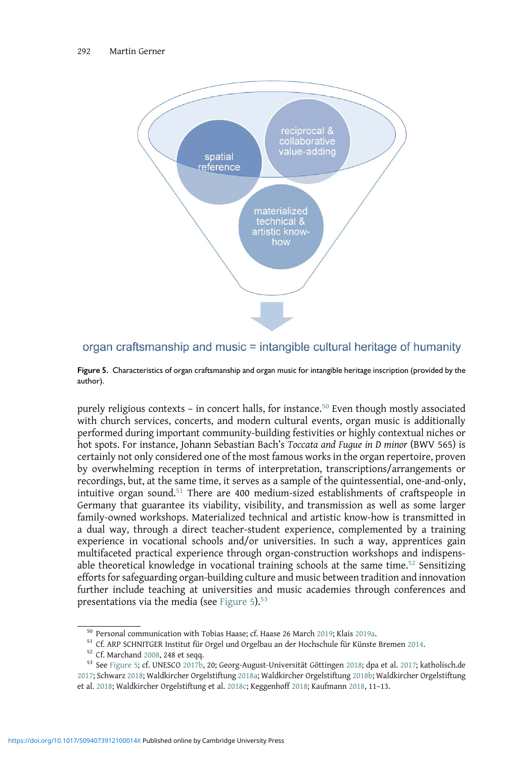

# organ craftsmanship and music = intangible cultural heritage of humanity

Figure 5. Characteristics of organ craftsmanship and organ music for intangible heritage inscription (provided by the author).

purely religious contexts – in concert halls, for instance.<sup>50</sup> Even though mostly associated with church services, concerts, and modern cultural events, organ music is additionally performed during important community-building festivities or highly contextual niches or hot spots. For instance, Johann Sebastian Bach's Toccata and Fugue in D minor (BWV 565) is certainly not only considered one of the most famous works in the organ repertoire, proven by overwhelming reception in terms of interpretation, transcriptions/arrangements or recordings, but, at the same time, it serves as a sample of the quintessential, one-and-only, intuitive organ sound.<sup>51</sup> There are 400 medium-sized establishments of craftspeople in Germany that guarantee its viability, visibility, and transmission as well as some larger family-owned workshops. Materialized technical and artistic know-how is transmitted in a dual way, through a direct teacher-student experience, complemented by a training experience in vocational schools and/or universities. In such a way, apprentices gain multifaceted practical experience through organ-construction workshops and indispensable theoretical knowledge in vocational training schools at the same time.<sup>52</sup> Sensitizing efforts for safeguarding organ-building culture and music between tradition and innovation further include teaching at universities and music academies through conferences and presentations via the media (see Figure 5).<sup>53</sup>

<sup>&</sup>lt;sup>50</sup> Personal communication with Tobias Haase; cf. Haase 26 March [2019;](#page-21-0) Klais [2019a.](#page-22-0)<br><sup>51</sup> Cf. ARP SCHNITGER Institut für Orgel und Orgelbau an der Hochschule für Künste Bremen [2014.](#page-18-0)<br><sup>52</sup> Cf. Marchand [2008](#page-22-0), 248 et seqq.<br><sup>5</sup> [2017](#page-21-0); Schwarz [2018;](#page-23-0) Waldkircher Orgelstiftung [2018a](#page-25-0); Waldkircher Orgelstiftung [2018b;](#page-25-0) Waldkircher Orgelstiftung et al. [2018](#page-25-0); Waldkircher Orgelstiftung et al. [2018c](#page-25-0); Keggenhoff [2018;](#page-21-0) Kaufmann [2018](#page-21-0), 11–13.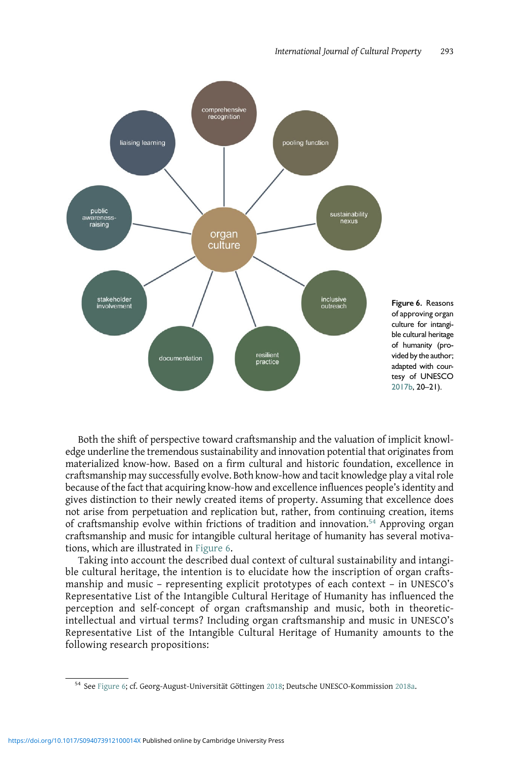

Both the shift of perspective toward craftsmanship and the valuation of implicit knowledge underline the tremendous sustainability and innovation potential that originates from materialized know-how. Based on a firm cultural and historic foundation, excellence in craftsmanship may successfully evolve. Both know-how and tacit knowledge play a vital role because of the fact that acquiring know-how and excellence influences people's identity and gives distinction to their newly created items of property. Assuming that excellence does not arise from perpetuation and replication but, rather, from continuing creation, items of craftsmanship evolve within frictions of tradition and innovation.<sup>54</sup> Approving organ craftsmanship and music for intangible cultural heritage of humanity has several motivations, which are illustrated in Figure 6.

Taking into account the described dual context of cultural sustainability and intangible cultural heritage, the intention is to elucidate how the inscription of organ craftsmanship and music – representing explicit prototypes of each context – in UNESCO's Representative List of the Intangible Cultural Heritage of Humanity has influenced the perception and self-concept of organ craftsmanship and music, both in theoreticintellectual and virtual terms? Including organ craftsmanship and music in UNESCO's Representative List of the Intangible Cultural Heritage of Humanity amounts to the following research propositions:

<sup>54</sup> See Figure 6; cf. Georg-August-Universität Göttingen [2018;](#page-20-0) Deutsche UNESCO-Kommission [2018a.](#page-19-0)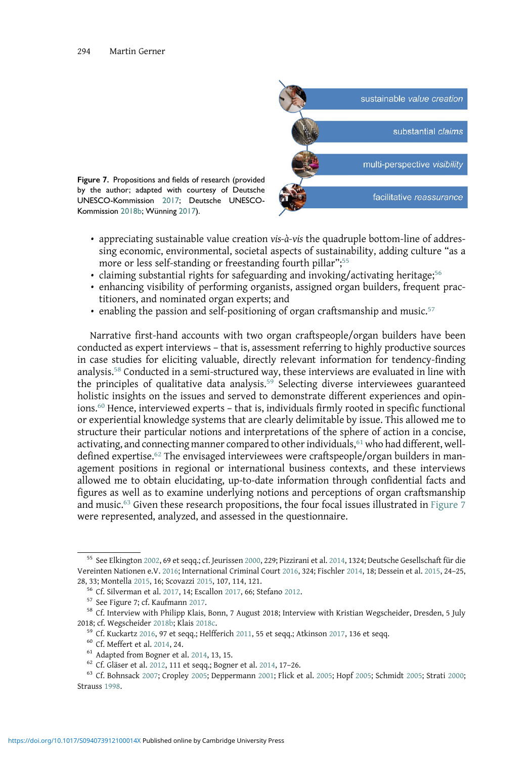

- appreciating sustainable value creation vis-à-vis the quadruple bottom-line of addressing economic, environmental, societal aspects of sustainability, adding culture "as a more or less self-standing or freestanding fourth pillar"; 55
- claiming substantial rights for safeguarding and invoking/activating heritage;<sup>56</sup>
- enhancing visibility of performing organists, assigned organ builders, frequent practitioners, and nominated organ experts; and
- enabling the passion and self-positioning of organ craftsmanship and music. $57$

Narrative first-hand accounts with two organ craftspeople/organ builders have been conducted as expert interviews – that is, assessment referring to highly productive sources in case studies for eliciting valuable, directly relevant information for tendency-finding analysis.<sup>58</sup> Conducted in a semi-structured way, these interviews are evaluated in line with the principles of qualitative data analysis.<sup>59</sup> Selecting diverse interviewees guaranteed holistic insights on the issues and served to demonstrate different experiences and opinions.<sup>60</sup> Hence, interviewed experts – that is, individuals firmly rooted in specific functional or experiential knowledge systems that are clearly delimitable by issue. This allowed me to structure their particular notions and interpretations of the sphere of action in a concise, activating, and connecting manner compared to other individuals,<sup>61</sup> who had different, welldefined expertise.<sup>62</sup> The envisaged interviewees were craftspeople/organ builders in management positions in regional or international business contexts, and these interviews allowed me to obtain elucidating, up-to-date information through confidential facts and figures as well as to examine underlying notions and perceptions of organ craftsmanship and music.<sup>63</sup> Given these research propositions, the four focal issues illustrated in Figure 7 were represented, analyzed, and assessed in the questionnaire.

<sup>55</sup> See Elkington [2002](#page-20-0), 69 et seqq.; cf. Jeurissen [2000](#page-21-0), 229; Pizzirani et al. [2014](#page-23-0), 1324; Deutsche Gesellschaft für die Vereinten Nationen e.V. [2016](#page-19-0); International Criminal Court [2016](#page-21-0), 324; Fischler [2014,](#page-20-0) 18; Dessein et al. [2015,](#page-19-0) 24–25,

 $^{56}$  Cf. Silverman et al. [2017,](#page-23-0) 14; Escallon [2017](#page-20-0), 66; Stefano [2012](#page-24-0).<br>  $^{57}$  See Figure 7; cf. Kaufmann [2017.](#page-21-0)<br>  $^{58}$  Cf. Interview with Philipp Klais, Bonn, 7 August 2018; Interview with Kristian Wegscheider, Dresden, 2018; cf. Wegscheider [2018b](#page-25-0); Klais [2018c](#page-22-0).<br><sup>59</sup> Cf. Kuckartz [2016](#page-22-0), 97 et seqq.; Helfferich [2011,](#page-21-0) 55 et seqq.; Atkinson [2017](#page-18-0), 136 et seqq.<br><sup>60</sup> Cf. Meffert et al. [2014,](#page-22-0) 24.<br><sup>61</sup> Adapted from Bogner et al. [2014](#page-19-0), 13, 15.<br><sup>62</sup>

Strauss [1998](#page-24-0).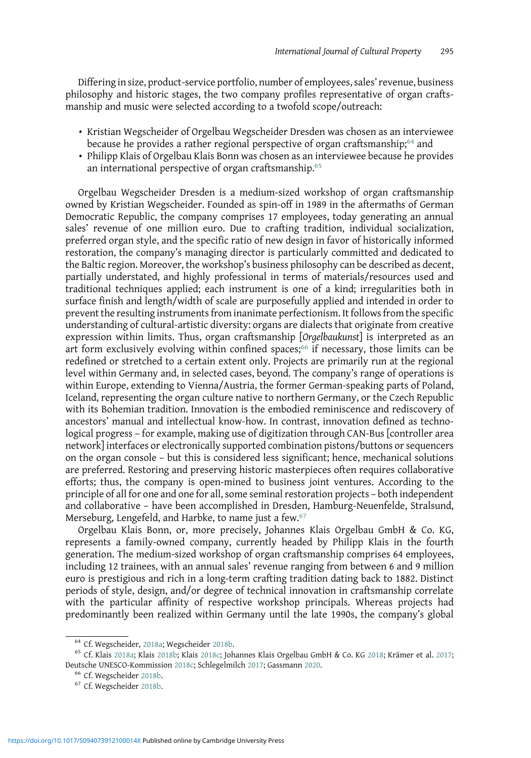Differing in size, product-service portfolio, number of employees, sales'revenue, business philosophy and historic stages, the two company profiles representative of organ craftsmanship and music were selected according to a twofold scope/outreach:

- Kristian Wegscheider of Orgelbau Wegscheider Dresden was chosen as an interviewee because he provides a rather regional perspective of organ craftsmanship;<sup>64</sup> and
- Philipp Klais of Orgelbau Klais Bonn was chosen as an interviewee because he provides an international perspective of organ craftsmanship.<sup>65</sup>

Orgelbau Wegscheider Dresden is a medium-sized workshop of organ craftsmanship owned by Kristian Wegscheider. Founded as spin-off in 1989 in the aftermaths of German Democratic Republic, the company comprises 17 employees, today generating an annual sales' revenue of one million euro. Due to crafting tradition, individual socialization, preferred organ style, and the specific ratio of new design in favor of historically informed restoration, the company's managing director is particularly committed and dedicated to the Baltic region. Moreover, the workshop's business philosophy can be described as decent, partially understated, and highly professional in terms of materials/resources used and traditional techniques applied; each instrument is one of a kind; irregularities both in surface finish and length/width of scale are purposefully applied and intended in order to prevent the resulting instruments from inanimate perfectionism. It follows from the specific understanding of cultural-artistic diversity: organs are dialects that originate from creative expression within limits. Thus, organ craftsmanship [Orgelbaukunst] is interpreted as an art form exclusively evolving within confined spaces;<sup>66</sup> if necessary, those limits can be redefined or stretched to a certain extent only. Projects are primarily run at the regional level within Germany and, in selected cases, beyond. The company's range of operations is within Europe, extending to Vienna/Austria, the former German-speaking parts of Poland, Iceland, representing the organ culture native to northern Germany, or the Czech Republic with its Bohemian tradition. Innovation is the embodied reminiscence and rediscovery of ancestors' manual and intellectual know-how. In contrast, innovation defined as technological progress – for example, making use of digitization through CAN-Bus [controller area network] interfaces or electronically supported combination pistons/buttons or sequencers on the organ console – but this is considered less significant; hence, mechanical solutions are preferred. Restoring and preserving historic masterpieces often requires collaborative efforts; thus, the company is open-mined to business joint ventures. According to the principle of all for one and one for all, some seminal restoration projects – both independent and collaborative – have been accomplished in Dresden, Hamburg-Neuenfelde, Stralsund, Merseburg, Lengefeld, and Harbke, to name just a few.<sup>67</sup>

Orgelbau Klais Bonn, or, more precisely, Johannes Klais Orgelbau GmbH & Co. KG, represents a family-owned company, currently headed by Philipp Klais in the fourth generation. The medium-sized workshop of organ craftsmanship comprises 64 employees, including 12 trainees, with an annual sales' revenue ranging from between 6 and 9 million euro is prestigious and rich in a long-term crafting tradition dating back to 1882. Distinct periods of style, design, and/or degree of technical innovation in craftsmanship correlate with the particular affinity of respective workshop principals. Whereas projects had predominantly been realized within Germany until the late 1990s, the company's global

<sup>&</sup>lt;sup>64</sup> Cf. Wegscheider, [2018a](#page-21-0); Wegscheider [2018b.](#page-25-0)<br><sup>65</sup> Cf. Klais 2018a; Klais [2018b](#page-21-0); Klais [2018c;](#page-22-0) Johannes Klais Orgelbau GmbH & Co. KG [2018;](#page-21-0) Krämer et al. [2017;](#page-22-0) Deutsche UNESCO-Kommission [2018c;](#page-19-0) Schlegelmilch [2017](#page-23-0); Gassmann [2020.](#page-20-0)<br>
<sup>66</sup> Cf. Wegscheider [2018b.](#page-25-0)<br>
<sup>67</sup> Cf. Wegscheider 2018b.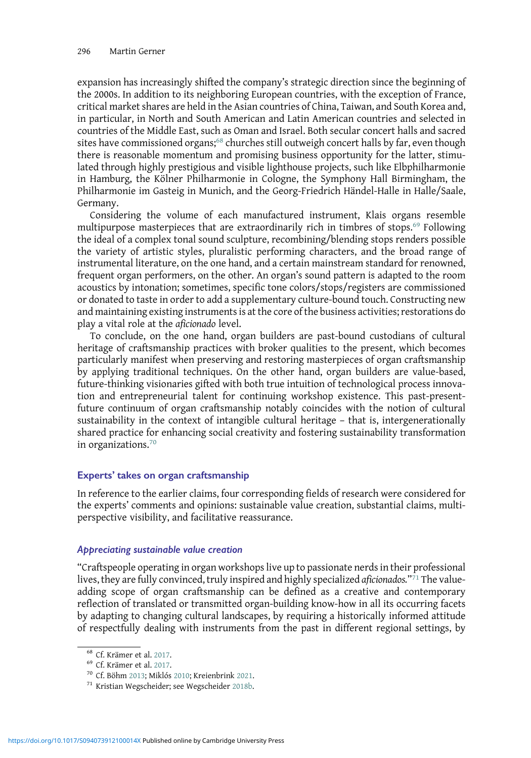expansion has increasingly shifted the company's strategic direction since the beginning of the 2000s. In addition to its neighboring European countries, with the exception of France, critical market shares are held in the Asian countries of China, Taiwan, and South Korea and, in particular, in North and South American and Latin American countries and selected in countries of the Middle East, such as Oman and Israel. Both secular concert halls and sacred sites have commissioned organs;<sup>68</sup> churches still outweigh concert halls by far, even though there is reasonable momentum and promising business opportunity for the latter, stimulated through highly prestigious and visible lighthouse projects, such like Elbphilharmonie in Hamburg, the Kölner Philharmonie in Cologne, the Symphony Hall Birmingham, the Philharmonie im Gasteig in Munich, and the Georg-Friedrich Händel-Halle in Halle/Saale, Germany.

Considering the volume of each manufactured instrument, Klais organs resemble multipurpose masterpieces that are extraordinarily rich in timbres of stops.<sup>69</sup> Following the ideal of a complex tonal sound sculpture, recombining/blending stops renders possible the variety of artistic styles, pluralistic performing characters, and the broad range of instrumental literature, on the one hand, and a certain mainstream standard for renowned, frequent organ performers, on the other. An organ's sound pattern is adapted to the room acoustics by intonation; sometimes, specific tone colors/stops/registers are commissioned or donated to taste in order to add a supplementary culture-bound touch. Constructing new and maintaining existing instruments is at the core of the business activities; restorations do play a vital role at the aficionado level.

To conclude, on the one hand, organ builders are past-bound custodians of cultural heritage of craftsmanship practices with broker qualities to the present, which becomes particularly manifest when preserving and restoring masterpieces of organ craftsmanship by applying traditional techniques. On the other hand, organ builders are value-based, future-thinking visionaries gifted with both true intuition of technological process innovation and entrepreneurial talent for continuing workshop existence. This past-presentfuture continuum of organ craftsmanship notably coincides with the notion of cultural sustainability in the context of intangible cultural heritage – that is, intergenerationally shared practice for enhancing social creativity and fostering sustainability transformation in organizations.<sup>70</sup>

# Experts' takes on organ craftsmanship

In reference to the earlier claims, four corresponding fields of research were considered for the experts' comments and opinions: sustainable value creation, substantial claims, multiperspective visibility, and facilitative reassurance.

## Appreciating sustainable value creation

"Craftspeople operating in organ workshops live up to passionate nerds in their professional lives, they are fully convinced, truly inspired and highly specialized aficionados."<sup>71</sup> The valueadding scope of organ craftsmanship can be defined as a creative and contemporary reflection of translated or transmitted organ-building know-how in all its occurring facets by adapting to changing cultural landscapes, by requiring a historically informed attitude of respectfully dealing with instruments from the past in different regional settings, by

<sup>&</sup>lt;sup>68</sup> Cf. Krämer et al. [2017](#page-22-0).<br><sup>69</sup> Cf. Krämer et al. 2017.<br><sup>70</sup> Cf. Böhm [2013](#page-19-0); Miklós [2010;](#page-22-0) Kreienbrink [2021.](#page-22-0)<br><sup>71</sup> Kristian Wegscheider; see Wegscheider [2018b](#page-25-0).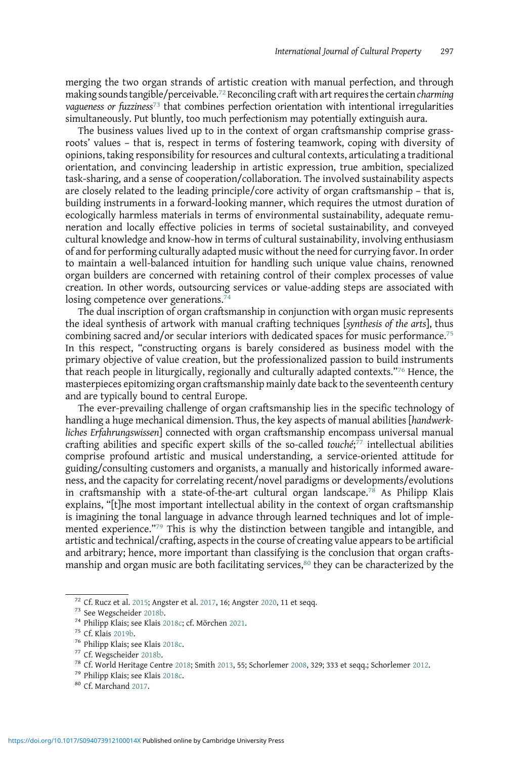merging the two organ strands of artistic creation with manual perfection, and through making sounds tangible/perceivable.<sup>72</sup> Reconciling craft with art requires the certain *charming* vagueness or fuzziness<sup>73</sup> that combines perfection orientation with intentional irregularities simultaneously. Put bluntly, too much perfectionism may potentially extinguish aura.

The business values lived up to in the context of organ craftsmanship comprise grassroots' values – that is, respect in terms of fostering teamwork, coping with diversity of opinions, taking responsibility for resources and cultural contexts, articulating a traditional orientation, and convincing leadership in artistic expression, true ambition, specialized task-sharing, and a sense of cooperation/collaboration. The involved sustainability aspects are closely related to the leading principle/core activity of organ craftsmanship – that is, building instruments in a forward-looking manner, which requires the utmost duration of ecologically harmless materials in terms of environmental sustainability, adequate remuneration and locally effective policies in terms of societal sustainability, and conveyed cultural knowledge and know-how in terms of cultural sustainability, involving enthusiasm of and for performing culturally adapted music without the need for currying favor. In order to maintain a well-balanced intuition for handling such unique value chains, renowned organ builders are concerned with retaining control of their complex processes of value creation. In other words, outsourcing services or value-adding steps are associated with losing competence over generations.<sup>74</sup>

The dual inscription of organ craftsmanship in conjunction with organ music represents the ideal synthesis of artwork with manual crafting techniques [synthesis of the arts], thus combining sacred and/or secular interiors with dedicated spaces for music performance.<sup>75</sup> In this respect, "constructing organs is barely considered as business model with the primary objective of value creation, but the professionalized passion to build instruments that reach people in liturgically, regionally and culturally adapted contexts."<sup>76</sup> Hence, the masterpieces epitomizing organ craftsmanship mainly date back to the seventeenth century and are typically bound to central Europe.

The ever-prevailing challenge of organ craftsmanship lies in the specific technology of handling a huge mechanical dimension. Thus, the key aspects of manual abilities [handwerkliches Erfahrungswissen] connected with organ craftsmanship encompass universal manual crafting abilities and specific expert skills of the so-called touché; $\bar{7}$  intellectual abilities comprise profound artistic and musical understanding, a service-oriented attitude for guiding/consulting customers and organists, a manually and historically informed awareness, and the capacity for correlating recent/novel paradigms or developments/evolutions in craftsmanship with a state-of-the-art cultural organ landscape.<sup>78</sup> As Philipp Klais explains, "[t]he most important intellectual ability in the context of organ craftsmanship is imagining the tonal language in advance through learned techniques and lot of implemented experience."<sup>79</sup> This is why the distinction between tangible and intangible, and artistic and technical/crafting, aspects in the course of creating value appears to be artificial and arbitrary; hence, more important than classifying is the conclusion that organ craftsmanship and organ music are both facilitating services, $80$  they can be characterized by the

<sup>&</sup>lt;sup>72</sup> Cf. Rucz et al. [2015](#page-23-0); Angster et al. [2017,](#page-18-0) 16; Angster [2020](#page-18-0), 11 et seqq.<br>
<sup>73</sup> See Wegscheider [2018b](#page-25-0).<br>
<sup>74</sup> Philipp Klais; see Klais [2018c;](#page-22-0) cf. Mörchen [2021.](#page-22-0)<br>
<sup>75</sup> Cf. Klais [2019b.](#page-22-0)<br>
<sup>76</sup> Philipp Klais; see Klais [2018](#page-25-0)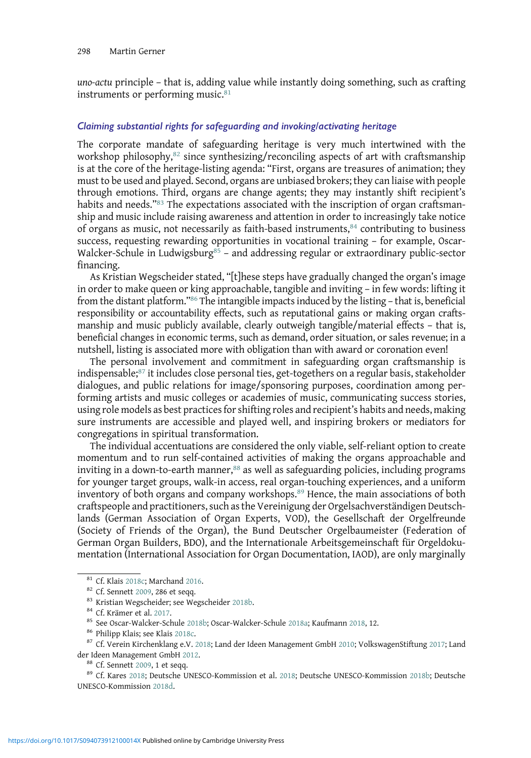uno-actu principle – that is, adding value while instantly doing something, such as crafting instruments or performing music.<sup>81</sup>

# Claiming substantial rights for safeguarding and invoking/activating heritage

The corporate mandate of safeguarding heritage is very much intertwined with the workshop philosophy, $82$  since synthesizing/reconciling aspects of art with craftsmanship is at the core of the heritage-listing agenda: "First, organs are treasures of animation; they must to be used and played. Second, organs are unbiased brokers; they can liaise with people through emotions. Third, organs are change agents; they may instantly shift recipient's habits and needs."<sup>83</sup> The expectations associated with the inscription of organ craftsmanship and music include raising awareness and attention in order to increasingly take notice of organs as music, not necessarily as faith-based instruments, $84$  contributing to business success, requesting rewarding opportunities in vocational training – for example, Oscar-Walcker-Schule in Ludwigsburg<sup>85</sup> - and addressing regular or extraordinary public-sector financing.

As Kristian Wegscheider stated, "[t]hese steps have gradually changed the organ's image in order to make queen or king approachable, tangible and inviting – in few words: lifting it from the distant platform."<sup>86</sup> The intangible impacts induced by the listing – that is, beneficial responsibility or accountability effects, such as reputational gains or making organ craftsmanship and music publicly available, clearly outweigh tangible/material effects – that is, beneficial changes in economic terms, such as demand, order situation, or sales revenue; in a nutshell, listing is associated more with obligation than with award or coronation even!

The personal involvement and commitment in safeguarding organ craftsmanship is indispensable;<sup>87</sup> it includes close personal ties, get-togethers on a regular basis, stakeholder dialogues, and public relations for image/sponsoring purposes, coordination among performing artists and music colleges or academies of music, communicating success stories, using role models as best practices for shifting roles and recipient's habits and needs, making sure instruments are accessible and played well, and inspiring brokers or mediators for congregations in spiritual transformation.

The individual accentuations are considered the only viable, self-reliant option to create momentum and to run self-contained activities of making the organs approachable and inviting in a down-to-earth manner, $88$  as well as safeguarding policies, including programs for younger target groups, walk-in access, real organ-touching experiences, and a uniform inventory of both organs and company workshops.<sup>89</sup> Hence, the main associations of both craftspeople and practitioners, such as the Vereinigung der Orgelsachverständigen Deutschlands (German Association of Organ Experts, VOD), the Gesellschaft der Orgelfreunde (Society of Friends of the Organ), the Bund Deutscher Orgelbaumeister (Federation of German Organ Builders, BDO), and the Internationale Arbeitsgemeinschaft für Orgeldokumentation (International Association for Organ Documentation, IAOD), are only marginally

<sup>&</sup>lt;sup>81</sup> Cf. Klais [2018c](#page-22-0); Marchand [2016](#page-22-0).<br><sup>82</sup> Cf. Sennett [2009,](#page-23-0) 286 et seqq.<br><sup>83</sup> Kristian Wegscheider; see Wegscheider [2018b](#page-23-0).<br><sup>84</sup> Cf. Krämer et al. [2017](#page-25-0).<br><sup>85</sup> See Oscar-Walcker-Schule 2018b; Oscar-Walcker-Schule [2018a](#page-22-0); Kauf

<sup>&</sup>lt;sup>88</sup> Cf. Sennett [2009,](#page-23-0) 1 et seqq.<br><sup>89</sup> Cf. Kares [2018;](#page-21-0) Deutsche UNESCO-Kommission et al. [2018](#page-20-0); Deutsche UNESCO-Kommission [2018b;](#page-19-0) Deutsche UNESCO-Kommission [2018d](#page-19-0).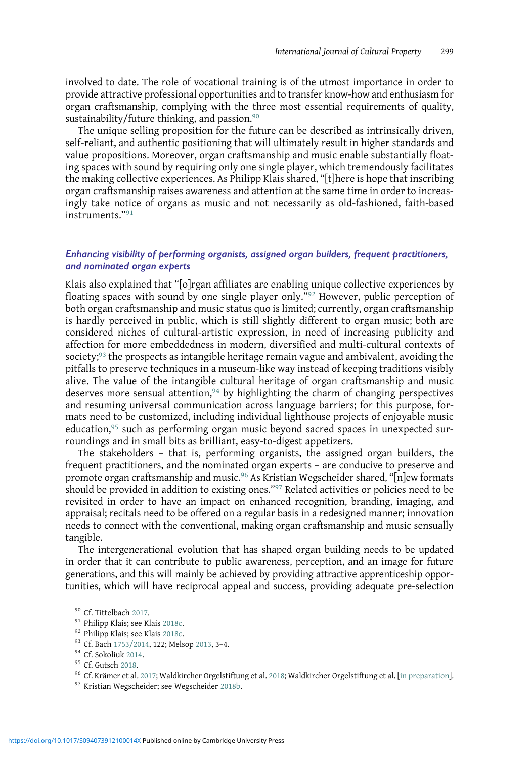involved to date. The role of vocational training is of the utmost importance in order to provide attractive professional opportunities and to transfer know-how and enthusiasm for organ craftsmanship, complying with the three most essential requirements of quality, sustainability/future thinking, and passion.<sup>90</sup>

The unique selling proposition for the future can be described as intrinsically driven, self-reliant, and authentic positioning that will ultimately result in higher standards and value propositions. Moreover, organ craftsmanship and music enable substantially floating spaces with sound by requiring only one single player, which tremendously facilitates the making collective experiences. As Philipp Klais shared, "[t]here is hope that inscribing organ craftsmanship raises awareness and attention at the same time in order to increasingly take notice of organs as music and not necessarily as old-fashioned, faith-based instruments."<sup>91</sup>

# Enhancing visibility of performing organists, assigned organ builders, frequent practitioners, and nominated organ experts

Klais also explained that "[o]rgan affiliates are enabling unique collective experiences by floating spaces with sound by one single player only."<sup>92</sup> However, public perception of both organ craftsmanship and music status quo is limited; currently, organ craftsmanship is hardly perceived in public, which is still slightly different to organ music; both are considered niches of cultural-artistic expression, in need of increasing publicity and affection for more embeddedness in modern, diversified and multi-cultural contexts of society;<sup>93</sup> the prospects as intangible heritage remain vague and ambivalent, avoiding the pitfalls to preserve techniques in a museum-like way instead of keeping traditions visibly alive. The value of the intangible cultural heritage of organ craftsmanship and music deserves more sensual attention,  $94$  by highlighting the charm of changing perspectives and resuming universal communication across language barriers; for this purpose, formats need to be customized, including individual lighthouse projects of enjoyable music education,<sup>95</sup> such as performing organ music beyond sacred spaces in unexpected surroundings and in small bits as brilliant, easy-to-digest appetizers.

The stakeholders – that is, performing organists, the assigned organ builders, the frequent practitioners, and the nominated organ experts – are conducive to preserve and promote organ craftsmanship and music.<sup>96</sup> As Kristian Wegscheider shared, "[n]ew formats should be provided in addition to existing ones."<sup>97</sup> Related activities or policies need to be revisited in order to have an impact on enhanced recognition, branding, imaging, and appraisal; recitals need to be offered on a regular basis in a redesigned manner; innovation needs to connect with the conventional, making organ craftsmanship and music sensually tangible.

The intergenerational evolution that has shaped organ building needs to be updated in order that it can contribute to public awareness, perception, and an image for future generations, and this will mainly be achieved by providing attractive apprenticeship opportunities, which will have reciprocal appeal and success, providing adequate pre-selection

<sup>%</sup> Cf. Tittelbach [2017](#page-22-0).<br>
91 Philipp Klais; see Klais [2018c.](#page-22-0)<br>
92 Philipp Klais; see Klais 2018c.<br>
93 Cf. Bach [1753/2014,](#page-18-0) 122; Melsop [2013,](#page-22-0) 3-4.<br>
94 Cf. Sokoliuk [2014.](#page-24-0)<br>
95 Cf. Gutsch [2018](#page-25-0).<br>
96 Cf. Krämer et al. 2017; Waldkirc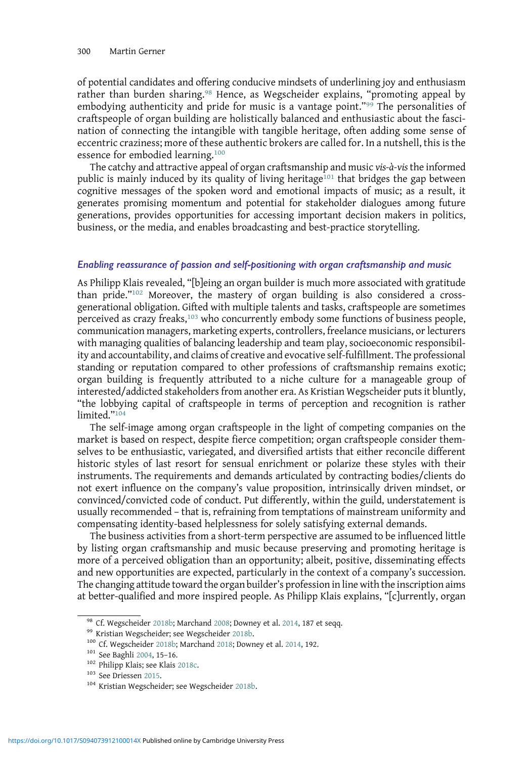of potential candidates and offering conducive mindsets of underlining joy and enthusiasm rather than burden sharing.<sup>98</sup> Hence, as Wegscheider explains, "promoting appeal by embodying authenticity and pride for music is a vantage point."<sup>99</sup> The personalities of craftspeople of organ building are holistically balanced and enthusiastic about the fascination of connecting the intangible with tangible heritage, often adding some sense of eccentric craziness; more of these authentic brokers are called for. In a nutshell, this is the essence for embodied learning.<sup>100</sup>

The catchy and attractive appeal of organ craftsmanship and music vis-à-vis the informed public is mainly induced by its quality of living heritage<sup>101</sup> that bridges the gap between cognitive messages of the spoken word and emotional impacts of music; as a result, it generates promising momentum and potential for stakeholder dialogues among future generations, provides opportunities for accessing important decision makers in politics, business, or the media, and enables broadcasting and best-practice storytelling.

## Enabling reassurance of passion and self-positioning with organ craftsmanship and music

As Philipp Klais revealed, "[b]eing an organ builder is much more associated with gratitude than pride."<sup>102</sup> Moreover, the mastery of organ building is also considered a crossgenerational obligation. Gifted with multiple talents and tasks, craftspeople are sometimes perceived as crazy freaks,<sup>103</sup> who concurrently embody some functions of business people, communication managers, marketing experts, controllers, freelance musicians, or lecturers with managing qualities of balancing leadership and team play, socioeconomic responsibility and accountability, and claims of creative and evocative self-fulfillment. The professional standing or reputation compared to other professions of craftsmanship remains exotic; organ building is frequently attributed to a niche culture for a manageable group of interested/addicted stakeholders from another era. As Kristian Wegscheider puts it bluntly, "the lobbying capital of craftspeople in terms of perception and recognition is rather limited<sup>"104</sup>

The self-image among organ craftspeople in the light of competing companies on the market is based on respect, despite fierce competition; organ craftspeople consider themselves to be enthusiastic, variegated, and diversified artists that either reconcile different historic styles of last resort for sensual enrichment or polarize these styles with their instruments. The requirements and demands articulated by contracting bodies/clients do not exert influence on the company's value proposition, intrinsically driven mindset, or convinced/convicted code of conduct. Put differently, within the guild, understatement is usually recommended – that is, refraining from temptations of mainstream uniformity and compensating identity-based helplessness for solely satisfying external demands.

The business activities from a short-term perspective are assumed to be influenced little by listing organ craftsmanship and music because preserving and promoting heritage is more of a perceived obligation than an opportunity; albeit, positive, disseminating effects and new opportunities are expected, particularly in the context of a company's succession. The changing attitude toward the organ builder's profession in line with the inscription aims at better-qualified and more inspired people. As Philipp Klais explains, "[c]urrently, organ

<sup>&</sup>lt;sup>98</sup> Cf. Wegscheider [2018b](#page-25-0); Marchand [2008;](#page-22-0) Downey et al. [2014,](#page-20-0) 187 et seqq.<br><sup>99</sup> Kristian Wegscheider; see Wegscheider 2018b.<br><sup>100</sup> Cf. Wegscheider [2018b;](#page-25-0) Marchand [2018;](#page-22-0) Downey et al. 2014, 192.<br><sup>101</sup> See Baghli [2004](#page-18-0), 15–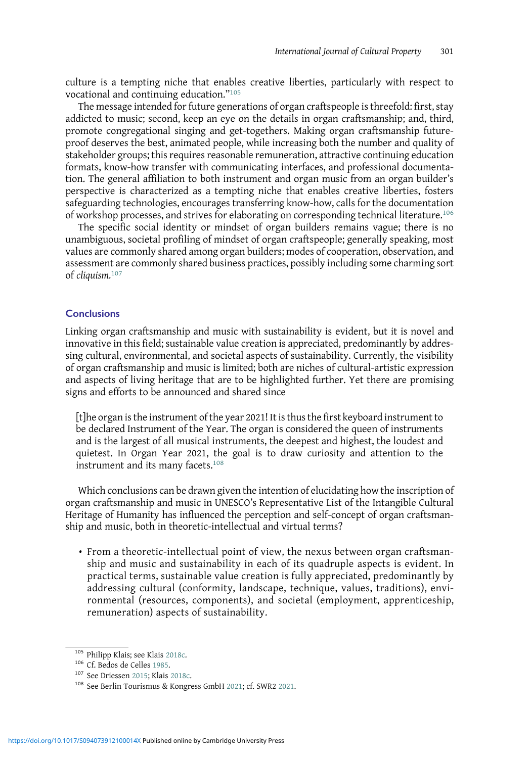culture is a tempting niche that enables creative liberties, particularly with respect to vocational and continuing education."<sup>105</sup>

The message intended for future generations of organ craftspeople is threefold: first, stay addicted to music; second, keep an eye on the details in organ craftsmanship; and, third, promote congregational singing and get-togethers. Making organ craftsmanship futureproof deserves the best, animated people, while increasing both the number and quality of stakeholder groups; this requires reasonable remuneration, attractive continuing education formats, know-how transfer with communicating interfaces, and professional documentation. The general affiliation to both instrument and organ music from an organ builder's perspective is characterized as a tempting niche that enables creative liberties, fosters safeguarding technologies, encourages transferring know-how, calls for the documentation of workshop processes, and strives for elaborating on corresponding technical literature.<sup>106</sup>

The specific social identity or mindset of organ builders remains vague; there is no unambiguous, societal profiling of mindset of organ craftspeople; generally speaking, most values are commonly shared among organ builders; modes of cooperation, observation, and assessment are commonly shared business practices, possibly including some charming sort of cliquism.<sup>107</sup>

#### **Conclusions**

Linking organ craftsmanship and music with sustainability is evident, but it is novel and innovative in this field; sustainable value creation is appreciated, predominantly by addressing cultural, environmental, and societal aspects of sustainability. Currently, the visibility of organ craftsmanship and music is limited; both are niches of cultural-artistic expression and aspects of living heritage that are to be highlighted further. Yet there are promising signs and efforts to be announced and shared since

[t]he organ is the instrument of the year 2021! It is thus the first keyboard instrument to be declared Instrument of the Year. The organ is considered the queen of instruments and is the largest of all musical instruments, the deepest and highest, the loudest and quietest. In Organ Year 2021, the goal is to draw curiosity and attention to the instrument and its many facets.<sup>108</sup>

Which conclusions can be drawn given the intention of elucidating how the inscription of organ craftsmanship and music in UNESCO's Representative List of the Intangible Cultural Heritage of Humanity has influenced the perception and self-concept of organ craftsmanship and music, both in theoretic-intellectual and virtual terms?

• From a theoretic-intellectual point of view, the nexus between organ craftsmanship and music and sustainability in each of its quadruple aspects is evident. In practical terms, sustainable value creation is fully appreciated, predominantly by addressing cultural (conformity, landscape, technique, values, traditions), environmental (resources, components), and societal (employment, apprenticeship, remuneration) aspects of sustainability.

<sup>&</sup>lt;sup>105</sup> Philipp Klais; see Klais [2018c.](#page-22-0)<br><sup>106</sup> Cf. Bedos de Celles [1985.](#page-19-0)<br><sup>107</sup> See Driessen [2015](#page-20-0); Klais [2018c](#page-22-0).<br><sup>108</sup> See Berlin Tourismus & Kongress GmbH [2021](#page-24-0); cf. SWR2 2021.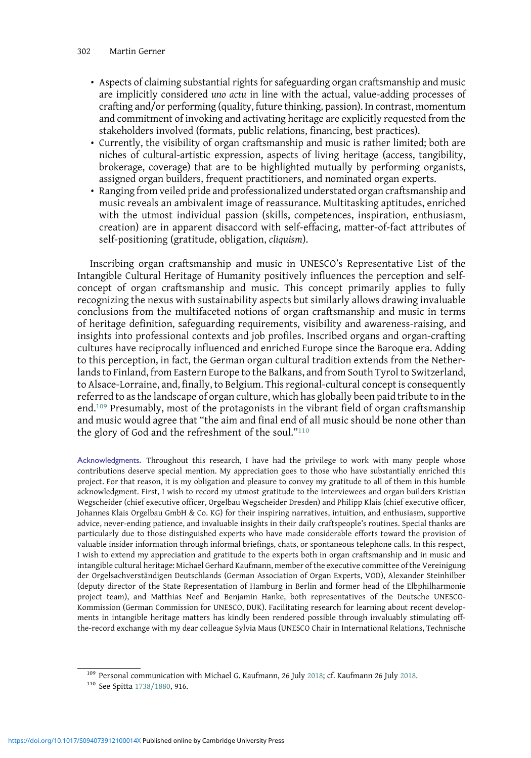- Aspects of claiming substantial rights for safeguarding organ craftsmanship and music are implicitly considered uno actu in line with the actual, value-adding processes of crafting and/or performing (quality, future thinking, passion). In contrast, momentum and commitment of invoking and activating heritage are explicitly requested from the stakeholders involved (formats, public relations, financing, best practices).
- Currently, the visibility of organ craftsmanship and music is rather limited; both are niches of cultural-artistic expression, aspects of living heritage (access, tangibility, brokerage, coverage) that are to be highlighted mutually by performing organists, assigned organ builders, frequent practitioners, and nominated organ experts.
- Ranging from veiled pride and professionalized understated organ craftsmanship and music reveals an ambivalent image of reassurance. Multitasking aptitudes, enriched with the utmost individual passion (skills, competences, inspiration, enthusiasm, creation) are in apparent disaccord with self-effacing, matter-of-fact attributes of self-positioning (gratitude, obligation, cliquism).

Inscribing organ craftsmanship and music in UNESCO's Representative List of the Intangible Cultural Heritage of Humanity positively influences the perception and selfconcept of organ craftsmanship and music. This concept primarily applies to fully recognizing the nexus with sustainability aspects but similarly allows drawing invaluable conclusions from the multifaceted notions of organ craftsmanship and music in terms of heritage definition, safeguarding requirements, visibility and awareness-raising, and insights into professional contexts and job profiles. Inscribed organs and organ-crafting cultures have reciprocally influenced and enriched Europe since the Baroque era. Adding to this perception, in fact, the German organ cultural tradition extends from the Netherlands to Finland, from Eastern Europe to the Balkans, and from South Tyrol to Switzerland, to Alsace-Lorraine, and, finally, to Belgium. This regional-cultural concept is consequently referred to as the landscape of organ culture, which has globally been paid tribute to in the end.<sup>109</sup> Presumably, most of the protagonists in the vibrant field of organ craftsmanship and music would agree that "the aim and final end of all music should be none other than the glory of God and the refreshment of the soul."<sup>110</sup>

Acknowledgments. Throughout this research, I have had the privilege to work with many people whose contributions deserve special mention. My appreciation goes to those who have substantially enriched this project. For that reason, it is my obligation and pleasure to convey my gratitude to all of them in this humble acknowledgment. First, I wish to record my utmost gratitude to the interviewees and organ builders Kristian Wegscheider (chief executive officer, Orgelbau Wegscheider Dresden) and Philipp Klais (chief executive officer, Johannes Klais Orgelbau GmbH & Co. KG) for their inspiring narratives, intuition, and enthusiasm, supportive advice, never-ending patience, and invaluable insights in their daily craftspeople's routines. Special thanks are particularly due to those distinguished experts who have made considerable efforts toward the provision of valuable insider information through informal briefings, chats, or spontaneous telephone calls. In this respect, I wish to extend my appreciation and gratitude to the experts both in organ craftsmanship and in music and intangible cultural heritage: Michael Gerhard Kaufmann, member of the executive committee of the Vereinigung der Orgelsachverständigen Deutschlands (German Association of Organ Experts, VOD), Alexander Steinhilber (deputy director of the State Representation of Hamburg in Berlin and former head of the Elbphilharmonie project team), and Matthias Neef and Benjamin Hanke, both representatives of the Deutsche UNESCO-Kommission (German Commission for UNESCO, DUK). Facilitating research for learning about recent developments in intangible heritage matters has kindly been rendered possible through invaluably stimulating offthe-record exchange with my dear colleague Sylvia Maus (UNESCO Chair in International Relations, Technische

 $109$  Personal communication with Michael G. Kaufmann, 26 July [2018;](#page-21-0) cf. Kaufmann 26 July [2018.](#page-21-0)  $110$  See Spitta [1738/1880,](#page-24-0) 916.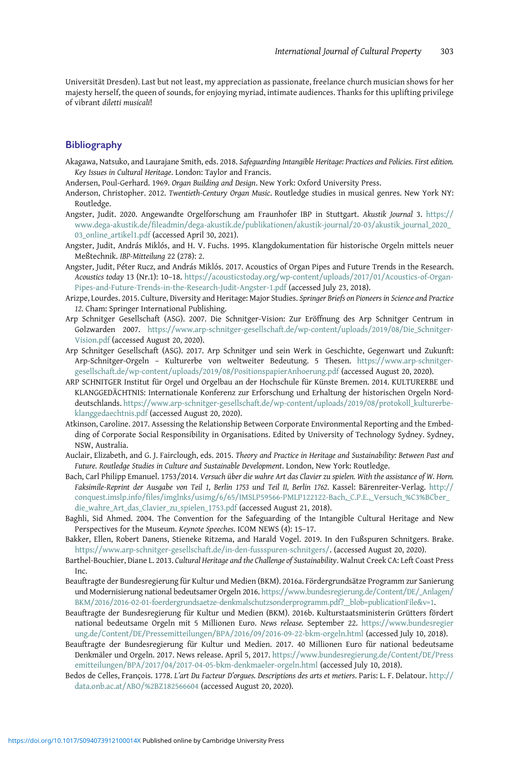<span id="page-18-0"></span>Universität Dresden). Last but not least, my appreciation as passionate, freelance church musician shows for her majesty herself, the queen of sounds, for enjoying myriad, intimate audiences. Thanks for this uplifting privilege of vibrant diletti musicali!

#### Bibliography

- Akagawa, Natsuko, and Laurajane Smith, eds. 2018. Safeguarding Intangible Heritage: Practices and Policies. First edition. Key Issues in Cultural Heritage. London: Taylor and Francis.
- Andersen, Poul-Gerhard. 1969. Organ Building and Design. New York: Oxford University Press.
- Anderson, Christopher. 2012. Twentieth-Century Organ Music. Routledge studies in musical genres. New York NY: Routledge.
- Angster, Judit. 2020. Angewandte Orgelforschung am Fraunhofer IBP in Stuttgart. Akustik Journal 3. [https://](https://www.dega-akustik.de/fileadmin/dega-akustik.de/publikationen/akustik-journal/20-03/akustik_journal_2020_03_online_artikel1.pdf) [www.dega-akustik.de/fileadmin/dega-akustik.de/publikationen/akustik-journal/20-03/akustik\\_journal\\_2020\\_](https://www.dega-akustik.de/fileadmin/dega-akustik.de/publikationen/akustik-journal/20-03/akustik_journal_2020_03_online_artikel1.pdf) [03\\_online\\_artikel1.pdf](https://www.dega-akustik.de/fileadmin/dega-akustik.de/publikationen/akustik-journal/20-03/akustik_journal_2020_03_online_artikel1.pdf) (accessed April 30, 2021).
- Angster, Judit, András Miklós, and H. V. Fuchs. 1995. Klangdokumentation für historische Orgeln mittels neuer Meßtechnik. IBP-Mitteilung 22 (278): 2.
- Angster, Judit, Péter Rucz, and András Miklós. 2017. Acoustics of Organ Pipes and Future Trends in the Research. Acoustics today 13 (Nr.1): 10–18. [https://acousticstoday.org/wp-content/uploads/2017/01/Acoustics-of-Organ-](https://acousticstoday.org/wp-content/uploads/2017/01/Acoustics-of-Organ-Pipes-and-Future-Trends-in-the-Research-Judit-Angster-1.pdf)[Pipes-and-Future-Trends-in-the-Research-Judit-Angster-1.pdf](https://acousticstoday.org/wp-content/uploads/2017/01/Acoustics-of-Organ-Pipes-and-Future-Trends-in-the-Research-Judit-Angster-1.pdf) (accessed July 23, 2018).
- Arizpe, Lourdes. 2015. Culture, Diversity and Heritage: Major Studies. Springer Briefs on Pioneers in Science and Practice 12. Cham: Springer International Publishing.
- Arp Schnitger Gesellschaft (ASG). 2007. Die Schnitger-Vision: Zur Eröffnung des Arp Schnitger Centrum in Golzwarden 2007. [https://www.arp-schnitger-gesellschaft.de/wp-content/uploads/2019/08/Die\\_Schnitger-](https://www.arp-schnitger-gesellschaft.de/wp-content/uploads/2019/08/Die_Schnitger-Vision.pdf)[Vision.pdf](https://www.arp-schnitger-gesellschaft.de/wp-content/uploads/2019/08/Die_Schnitger-Vision.pdf) (accessed August 20, 2020).
- Arp Schnitger Gesellschaft (ASG). 2017. Arp Schnitger und sein Werk in Geschichte, Gegenwart und Zukunft: Arp-Schnitger-Orgeln – Kulturerbe von weltweiter Bedeutung. 5 Thesen. [https://www.arp-schnitger](https://www.arp-schnitger-gesellschaft.de/wp-content/uploads/2019/08/PositionspapierAnhoerung.pdf)[gesellschaft.de/wp-content/uploads/2019/08/PositionspapierAnhoerung.pdf](https://www.arp-schnitger-gesellschaft.de/wp-content/uploads/2019/08/PositionspapierAnhoerung.pdf) (accessed August 20, 2020).
- ARP SCHNITGER Institut für Orgel und Orgelbau an der Hochschule für Künste Bremen. 2014. KULTURERBE und KLANGGEDÄCHTNIS: Internationale Konferenz zur Erforschung und Erhaltung der historischen Orgeln Norddeutschlands. [https://www.arp-schnitger-gesellschaft.de/wp-content/uploads/2019/08/protokoll\\_kulturerbe](https://www.arp-schnitger-gesellschaft.de/wp-content/uploads/2019/08/protokoll_kulturerbe-klanggedaechtnis.pdf)[klanggedaechtnis.pdf](https://www.arp-schnitger-gesellschaft.de/wp-content/uploads/2019/08/protokoll_kulturerbe-klanggedaechtnis.pdf) (accessed August 20, 2020).
- Atkinson, Caroline. 2017. Assessing the Relationship Between Corporate Environmental Reporting and the Embedding of Corporate Social Responsibility in Organisations. Edited by University of Technology Sydney. Sydney, NSW, Australia.
- Auclair, Elizabeth, and G. J. Fairclough, eds. 2015. Theory and Practice in Heritage and Sustainability: Between Past and Future. Routledge Studies in Culture and Sustainable Development. London, New York: Routledge.
- Bach, Carl Philipp Emanuel. 1753/2014. Versuch über die wahre Art das Clavier zu spielen. With the assistance of W. Horn. Faksimile-Reprint der Ausgabe von Teil 1, Berlin 1753 und Teil II, Berlin 1762. Kassel: Bärenreiter-Verlag. [http://](http://conquest.imslp.info/files/imglnks/usimg/6/65/IMSLP59566-PMLP122122-Bach,_C.P.E.,_Versuch_%C3%BCber_die_wahre_Art_das_Clavier_zu_spielen_1753.pdf) [conquest.imslp.info/files/imglnks/usimg/6/65/IMSLP59566-PMLP122122-Bach,\\_C.P.E.,\\_Versuch\\_%C3%BCber\\_](http://conquest.imslp.info/files/imglnks/usimg/6/65/IMSLP59566-PMLP122122-Bach,_C.P.E.,_Versuch_%C3%BCber_die_wahre_Art_das_Clavier_zu_spielen_1753.pdf) [die\\_wahre\\_Art\\_das\\_Clavier\\_zu\\_spielen\\_1753.pdf](http://conquest.imslp.info/files/imglnks/usimg/6/65/IMSLP59566-PMLP122122-Bach,_C.P.E.,_Versuch_%C3%BCber_die_wahre_Art_das_Clavier_zu_spielen_1753.pdf) (accessed August 21, 2018).
- Baghli, Sid Ahmed. 2004. The Convention for the Safeguarding of the Intangible Cultural Heritage and New Perspectives for the Museum. Keynote Speeches. ICOM NEWS (4): 15–17.
- Bakker, Ellen, Robert Danens, Stieneke Ritzema, and Harald Vogel. 2019. In den Fußspuren Schnitgers. Brake. <https://www.arp-schnitger-gesellschaft.de/in-den-fussspuren-schnitgers/>. (accessed August 20, 2020).
- Barthel-Bouchier, Diane L. 2013. Cultural Heritage and the Challenge of Sustainability. Walnut Creek CA: Left Coast Press Inc.
- Beauftragte der Bundesregierung für Kultur und Medien (BKM). 2016a. Fördergrundsätze Programm zur Sanierung und Modernisierung national bedeutsamer Orgeln 2016. [https://www.bundesregierung.de/Content/DE/\\_Anlagen/](https://www.bundesregierung.de/Content/DE/_Anlagen/BKM/2016/2016-02-01-foerdergrundsaetze-denkmalschutzsonderprogramm.pdf?__blob=publicationFilev=1) [BKM/2016/2016-02-01-foerdergrundsaetze-denkmalschutzsonderprogramm.pdf?\\_\\_blob=publicationFile&v=1.](https://www.bundesregierung.de/Content/DE/_Anlagen/BKM/2016/2016-02-01-foerdergrundsaetze-denkmalschutzsonderprogramm.pdf?__blob=publicationFilev=1)
- Beauftragte der Bundesregierung für Kultur und Medien (BKM). 2016b. Kulturstaatsministerin Grütters fördert national bedeutsame Orgeln mit 5 Millionen Euro. News release. September 22. [https://www.bundesregier](https://www.bundesregierung.de/Content/DE/Pressemitteilungen/BPA/2016/09/2016-09-22-bkm-orgeln.html) [ung.de/Content/DE/Pressemitteilungen/BPA/2016/09/2016-09-22-bkm-orgeln.html](https://www.bundesregierung.de/Content/DE/Pressemitteilungen/BPA/2016/09/2016-09-22-bkm-orgeln.html) (accessed July 10, 2018).
- Beauftragte der Bundesregierung für Kultur und Medien. 2017. 40 Millionen Euro für national bedeutsame Denkmäler und Orgeln. 2017. News release. April 5, 2017. [https://www.bundesregierung.de/Content/DE/Press](https://www.bundesregierung.de/Content/DE/Pressemitteilungen/BPA/2017/04/2017-04-05-bkm-denkmaeler-orgeln.html) [emitteilungen/BPA/2017/04/2017-04-05-bkm-denkmaeler-orgeln.html](https://www.bundesregierung.de/Content/DE/Pressemitteilungen/BPA/2017/04/2017-04-05-bkm-denkmaeler-orgeln.html) (accessed July 10, 2018).
- Bedos de Celles, François. 1778. L'art Du Facteur D'orgues. Descriptions des arts et metiers. Paris: L. F. Delatour. [http://](http://data.onb.ac.at/ABO/%2BZ182566604) [data.onb.ac.at/ABO/%2BZ182566604](http://data.onb.ac.at/ABO/%2BZ182566604) (accessed August 20, 2020).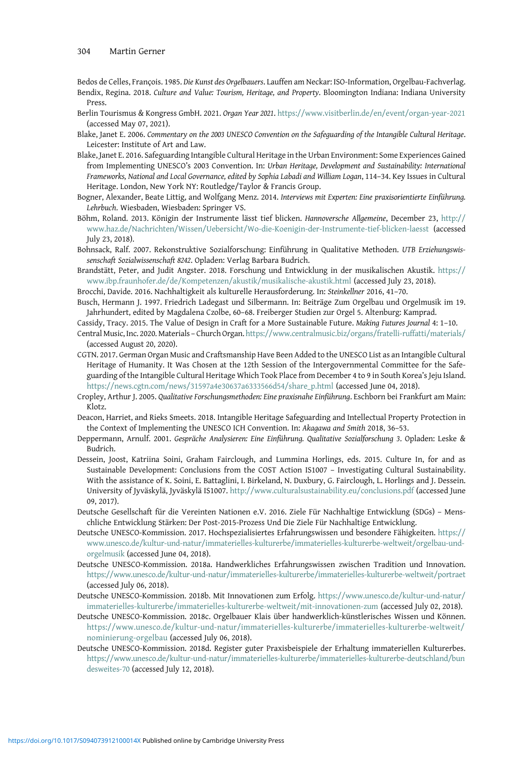<span id="page-19-0"></span>Bedos de Celles, François. 1985. Die Kunst des Orgelbauers. Lauffen am Neckar: ISO-Information, Orgelbau-Fachverlag. Bendix, Regina. 2018. Culture and Value: Tourism, Heritage, and Property. Bloomington Indiana: Indiana University Press.

- Berlin Tourismus & Kongress GmbH. 2021. Organ Year 2021. <https://www.visitberlin.de/en/event/organ-year-2021> (accessed May 07, 2021).
- Blake, Janet E. 2006. Commentary on the 2003 UNESCO Convention on the Safeguarding of the Intangible Cultural Heritage. Leicester: Institute of Art and Law.
- Blake, Janet E. 2016. Safeguarding Intangible Cultural Heritage in the Urban Environment: Some Experiences Gained from Implementing UNESCO's 2003 Convention. In: Urban Heritage, Development and Sustainability: International Frameworks, National and Local Governance, edited by Sophia Labadi and William Logan, 114–34. Key Issues in Cultural Heritage. London, New York NY: Routledge/Taylor & Francis Group.
- Bogner, Alexander, Beate Littig, and Wolfgang Menz. 2014. Interviews mit Experten: Eine praxisorientierte Einführung. Lehrbuch. Wiesbaden, Wiesbaden: Springer VS.
- Böhm, Roland. 2013. Königin der Instrumente lässt tief blicken. Hannoversche Allgemeine, December 23, [http://](http://www.haz.de/Nachrichten/Wissen/Uebersicht/Wo-die-Koenigin-der-Instrumente-tief-blicken-laesst) [www.haz.de/Nachrichten/Wissen/Uebersicht/Wo-die-Koenigin-der-Instrumente-tief-blicken-laesst](http://www.haz.de/Nachrichten/Wissen/Uebersicht/Wo-die-Koenigin-der-Instrumente-tief-blicken-laesst) (accessed July 23, 2018).
- Bohnsack, Ralf. 2007. Rekonstruktive Sozialforschung: Einführung in Qualitative Methoden. UTB Erziehungswissenschaft Sozialwissenschaft 8242. Opladen: Verlag Barbara Budrich.
- Brandstätt, Peter, and Judit Angster. 2018. Forschung und Entwicklung in der musikalischen Akustik. [https://](https://www.ibp.fraunhofer.de/de/Kompetenzen/akustik/musikalische-akustik.html) [www.ibp.fraunhofer.de/de/Kompetenzen/akustik/musikalische-akustik.html](https://www.ibp.fraunhofer.de/de/Kompetenzen/akustik/musikalische-akustik.html) (accessed July 23, 2018).

Brocchi, Davide. 2016. Nachhaltigkeit als kulturelle Herausforderung. In: Steinkellner 2016, 41–70.

Busch, Hermann J. 1997. Friedrich Ladegast und Silbermann. In: Beiträge Zum Orgelbau und Orgelmusik im 19. Jahrhundert, edited by Magdalena Czolbe, 60–68. Freiberger Studien zur Orgel 5. Altenburg: Kamprad.

- Cassidy, Tracy. 2015. The Value of Design in Craft for a More Sustainable Future. Making Futures Journal 4: 1–10.
- Central Music, Inc. 2020. Materials Church Organ. <https://www.centralmusic.biz/organs/fratelli-ruffatti/materials/> (accessed August 20, 2020).
- CGTN. 2017. German Organ Music and Craftsmanship Have Been Added to the UNESCO List as an Intangible Cultural Heritage of Humanity. It Was Chosen at the 12th Session of the Intergovernmental Committee for the Safeguarding of the Intangible Cultural Heritage Which Took Place from December 4 to 9 in South Korea's Jeju Island. [https://news.cgtn.com/news/31597a4e30637a6333566d54/share\\_p.html](https://news.cgtn.com/news/31597a4e30637a6333566d54/share_p.html) (accessed June 04, 2018).
- Cropley, Arthur J. 2005. Qualitative Forschungsmethoden: Eine praxisnahe Einführung. Eschborn bei Frankfurt am Main: Klotz.
- Deacon, Harriet, and Rieks Smeets. 2018. Intangible Heritage Safeguarding and Intellectual Property Protection in the Context of Implementing the UNESCO ICH Convention. In: Akagawa and Smith 2018, 36–53.
- Deppermann, Arnulf. 2001. Gespräche Analysieren: Eine Einführung. Qualitative Sozialforschung 3. Opladen: Leske & Budrich.
- Dessein, Joost, Katriina Soini, Graham Fairclough, and Lummina Horlings, eds. 2015. Culture In, for and as Sustainable Development: Conclusions from the COST Action IS1007 – Investigating Cultural Sustainability. With the assistance of K. Soini, E. Battaglini, I. Birkeland, N. Duxbury, G. Fairclough, L. Horlings and J. Dessein. University of Jyväskylä, Jyväskylä IS1007. <http://www.culturalsustainability.eu/conclusions.pdf> (accessed June 09, 2017).
- Deutsche Gesellschaft für die Vereinten Nationen e.V. 2016. Ziele Für Nachhaltige Entwicklung (SDGs) Menschliche Entwicklung Stärken: Der Post-2015-Prozess Und Die Ziele Für Nachhaltige Entwicklung.
- Deutsche UNESCO-Kommission. 2017. Hochspezialisiertes Erfahrungswissen und besondere Fähigkeiten. [https://](https://www.unesco.de/kultur-und-natur/immaterielles-kulturerbe/immaterielles-kulturerbe-weltweit/orgelbau-und-orgelmusik) [www.unesco.de/kultur-und-natur/immaterielles-kulturerbe/immaterielles-kulturerbe-weltweit/orgelbau-und](https://www.unesco.de/kultur-und-natur/immaterielles-kulturerbe/immaterielles-kulturerbe-weltweit/orgelbau-und-orgelmusik)[orgelmusik](https://www.unesco.de/kultur-und-natur/immaterielles-kulturerbe/immaterielles-kulturerbe-weltweit/orgelbau-und-orgelmusik) (accessed June 04, 2018).
- Deutsche UNESCO-Kommission. 2018a. Handwerkliches Erfahrungswissen zwischen Tradition und Innovation. <https://www.unesco.de/kultur-und-natur/immaterielles-kulturerbe/immaterielles-kulturerbe-weltweit/portraet> (accessed July 06, 2018).
- Deutsche UNESCO-Kommission. 2018b. Mit Innovationen zum Erfolg. [https://www.unesco.de/kultur-und-natur/](https://www.unesco.de/kultur-und-natur/immaterielles-kulturerbe/immaterielles-kulturerbe-weltweit/mit-innovationen-zum) [immaterielles-kulturerbe/immaterielles-kulturerbe-weltweit/mit-innovationen-zum](https://www.unesco.de/kultur-und-natur/immaterielles-kulturerbe/immaterielles-kulturerbe-weltweit/mit-innovationen-zum) (accessed July 02, 2018).
- Deutsche UNESCO-Kommission. 2018c. Orgelbauer Klais über handwerklich-künstlerisches Wissen und Können. [https://www.unesco.de/kultur-und-natur/immaterielles-kulturerbe/immaterielles-kulturerbe-weltweit/](https://www.unesco.de/kultur-und-natur/immaterielles-kulturerbe/immaterielles-kulturerbe-weltweit/nominierung-orgelbau) [nominierung-orgelbau](https://www.unesco.de/kultur-und-natur/immaterielles-kulturerbe/immaterielles-kulturerbe-weltweit/nominierung-orgelbau) (accessed July 06, 2018).
- Deutsche UNESCO-Kommission. 2018d. Register guter Praxisbeispiele der Erhaltung immateriellen Kulturerbes. [https://www.unesco.de/kultur-und-natur/immaterielles-kulturerbe/immaterielles-kulturerbe-deutschland/bun](https://www.unesco.de/kultur-und-natur/immaterielles-kulturerbe/immaterielles-kulturerbe-deutschland/bundesweites-70) [desweites-70](https://www.unesco.de/kultur-und-natur/immaterielles-kulturerbe/immaterielles-kulturerbe-deutschland/bundesweites-70) (accessed July 12, 2018).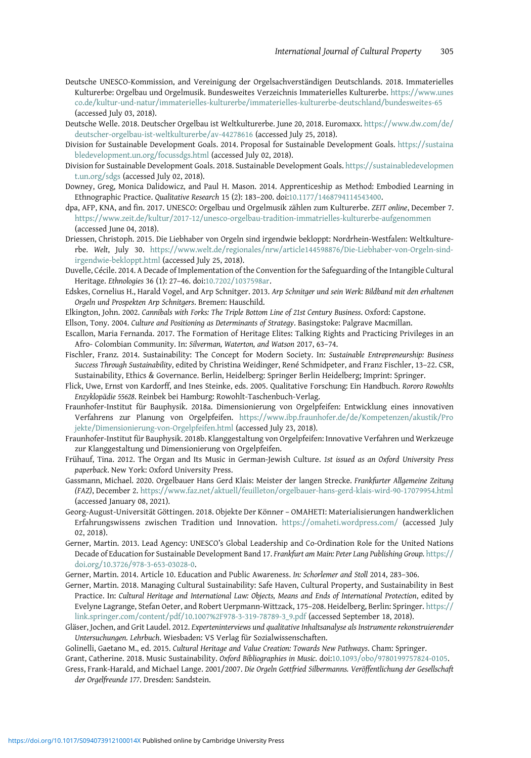- <span id="page-20-0"></span>Deutsche UNESCO-Kommission, and Vereinigung der Orgelsachverständigen Deutschlands. 2018. Immaterielles Kulturerbe: Orgelbau und Orgelmusik. Bundesweites Verzeichnis Immaterielles Kulturerbe. [https://www.unes](https://www.unesco.de/kultur-und-natur/immaterielles-kulturerbe/immaterielles-kulturerbe-deutschland/bundesweites-65) [co.de/kultur-und-natur/immaterielles-kulturerbe/immaterielles-kulturerbe-deutschland/bundesweites-65](https://www.unesco.de/kultur-und-natur/immaterielles-kulturerbe/immaterielles-kulturerbe-deutschland/bundesweites-65) (accessed July 03, 2018).
- Deutsche Welle. 2018. Deutscher Orgelbau ist Weltkulturerbe. June 20, 2018. Euromaxx. [https://www.dw.com/de/](https://www.dw.com/de/deutscher-orgelbau-ist-weltkulturerbe/av-44278616) [deutscher-orgelbau-ist-weltkulturerbe/av-44278616](https://www.dw.com/de/deutscher-orgelbau-ist-weltkulturerbe/av-44278616) (accessed July 25, 2018).
- Division for Sustainable Development Goals. 2014. Proposal for Sustainable Development Goals. [https://sustaina](https://sustainabledevelopment.un.org/focussdgs.html) [bledevelopment.un.org/focussdgs.html](https://sustainabledevelopment.un.org/focussdgs.html) (accessed July 02, 2018).
- Division for Sustainable Development Goals. 2018. Sustainable Development Goals. [https://sustainabledevelopmen](https://sustainabledevelopment.un.org/sdgs) [t.un.org/sdgs](https://sustainabledevelopment.un.org/sdgs) (accessed July 02, 2018).
- Downey, Greg, Monica Dalidowicz, and Paul H. Mason. 2014. Apprenticeship as Method: Embodied Learning in Ethnographic Practice. Qualitative Research 15 (2): 183–200. doi[:10.1177/1468794114543400.](https://doi.org/10.1177/1468794114543400)
- dpa, AFP, KNA, and fin. 2017. UNESCO: Orgelbau und Orgelmusik zählen zum Kulturerbe. ZEIT online, December 7. <https://www.zeit.de/kultur/2017-12/unesco-orgelbau-tradition-immatrielles-kulturerbe-aufgenommen> (accessed June 04, 2018).
- Driessen, Christoph. 2015. Die Liebhaber von Orgeln sind irgendwie bekloppt: Nordrhein-Westfalen: Weltkulturerbe. Welt, July 30. [https://www.welt.de/regionales/nrw/article144598876/Die-Liebhaber-von-Orgeln-sind](https://www.welt.de/regionales/nrw/article144598876/Die-Liebhaber-von-Orgeln-sind-irgendwie-bekloppt.html)[irgendwie-bekloppt.html](https://www.welt.de/regionales/nrw/article144598876/Die-Liebhaber-von-Orgeln-sind-irgendwie-bekloppt.html) (accessed July 25, 2018).
- Duvelle, Cécile. 2014. A Decade of Implementation of the Convention for the Safeguarding of the Intangible Cultural Heritage. Ethnologies 36 (1): 27–46. doi:[10.7202/1037598ar.](https://doi.org/10.7202/1037598ar)
- Edskes, Cornelius H., Harald Vogel, and Arp Schnitger. 2013. Arp Schnitger und sein Werk: Bildband mit den erhaltenen Orgeln und Prospekten Arp Schnitgers. Bremen: Hauschild.
- Elkington, John. 2002. Cannibals with Forks: The Triple Bottom Line of 21st Century Business. Oxford: Capstone.
- Ellson, Tony. 2004. Culture and Positioning as Determinants of Strategy. Basingstoke: Palgrave Macmillan.
- Escallon, Maria Fernanda. 2017. The Formation of Heritage Elites: Talking Rights and Practicing Privileges in an Afro- Colombian Community. In: Silverman, Waterton, and Watson 2017, 63–74.
- Fischler, Franz. 2014. Sustainability: The Concept for Modern Society. In: Sustainable Entrepreneurship: Business Success Through Sustainability, edited by Christina Weidinger, René Schmidpeter, and Franz Fischler, 13–22. CSR, Sustainability, Ethics & Governance. Berlin, Heidelberg: Springer Berlin Heidelberg; Imprint: Springer.
- Flick, Uwe, Ernst von Kardorff, and Ines Steinke, eds. 2005. Qualitative Forschung: Ein Handbuch. Rororo Rowohlts Enzyklopädie 55628. Reinbek bei Hamburg: Rowohlt-Taschenbuch-Verlag.
- Fraunhofer-Institut für Bauphysik. 2018a. Dimensionierung von Orgelpfeifen: Entwicklung eines innovativen Verfahrens zur Planung von Orgelpfeifen. [https://www.ibp.fraunhofer.de/de/Kompetenzen/akustik/Pro](https://www.ibp.fraunhofer.de/de/Kompetenzen/akustik/Projekte/Dimensionierung-von-Orgelpfeifen.html) [jekte/Dimensionierung-von-Orgelpfeifen.html](https://www.ibp.fraunhofer.de/de/Kompetenzen/akustik/Projekte/Dimensionierung-von-Orgelpfeifen.html) (accessed July 23, 2018).
- Fraunhofer-Institut für Bauphysik. 2018b. Klanggestaltung von Orgelpfeifen: Innovative Verfahren und Werkzeuge zur Klanggestaltung und Dimensionierung von Orgelpfeifen.
- Frühauf, Tina. 2012. The Organ and Its Music in German-Jewish Culture. 1st issued as an Oxford University Press paperback. New York: Oxford University Press.
- Gassmann, Michael. 2020. Orgelbauer Hans Gerd Klais: Meister der langen Strecke. Frankfurter Allgemeine Zeitung (FAZ), December 2. <https://www.faz.net/aktuell/feuilleton/orgelbauer-hans-gerd-klais-wird-90-17079954.html> (accessed January 08, 2021).
- Georg-August-Universität Göttingen. 2018. Objekte Der Könner OMAHETI: Materialisierungen handwerklichen Erfahrungswissens zwischen Tradition und Innovation. <https://omaheti.wordpress.com/> (accessed July 02, 2018).
- Gerner, Martin. 2013. Lead Agency: UNESCO's Global Leadership and Co-Ordination Role for the United Nations Decade of Education for Sustainable Development Band 17. Frankfurt am Main: Peter Lang Publishing Group. [https://](https://doi.org/https://doi.org/10.3726/978-3-653-03028-0) [doi.org/10.3726/978-3-653-03028-0.](https://doi.org/https://doi.org/10.3726/978-3-653-03028-0)
- Gerner, Martin. 2014. Article 10. Education and Public Awareness. In: Schorlemer and Stoll 2014, 283–306.
- Gerner, Martin. 2018. Managing Cultural Sustainability: Safe Haven, Cultural Property, and Sustainability in Best Practice. In: Cultural Heritage and International Law: Objects, Means and Ends of International Protection, edited by Evelyne Lagrange, Stefan Oeter, and Robert Uerpmann-Wittzack, 175–208. Heidelberg, Berlin: Springer. [https://](https://link.springer.com/content/pdf/10.1007%2F978-3-319-78789-3_9.pdf) [link.springer.com/content/pdf/10.1007%2F978-3-319-78789-3\\_9.pdf](https://link.springer.com/content/pdf/10.1007%2F978-3-319-78789-3_9.pdf) (accessed September 18, 2018).
- Gläser, Jochen, and Grit Laudel. 2012. Experteninterviews und qualitative Inhaltsanalyse als Instrumente rekonstruierender Untersuchungen. Lehrbuch. Wiesbaden: VS Verlag für Sozialwissenschaften.
- Golinelli, Gaetano M., ed. 2015. Cultural Heritage and Value Creation: Towards New Pathways. Cham: Springer.
- Grant, Catherine. 2018. Music Sustainability. Oxford Bibliographies in Music. doi[:10.1093/obo/9780199757824-0105.](https://doi.org/10.1093/obo/9780199757824-0105)
- Gress, Frank-Harald, and Michael Lange. 2001/2007. Die Orgeln Gottfried Silbermanns. Veröffentlichung der Gesellschaft der Orgelfreunde 177. Dresden: Sandstein.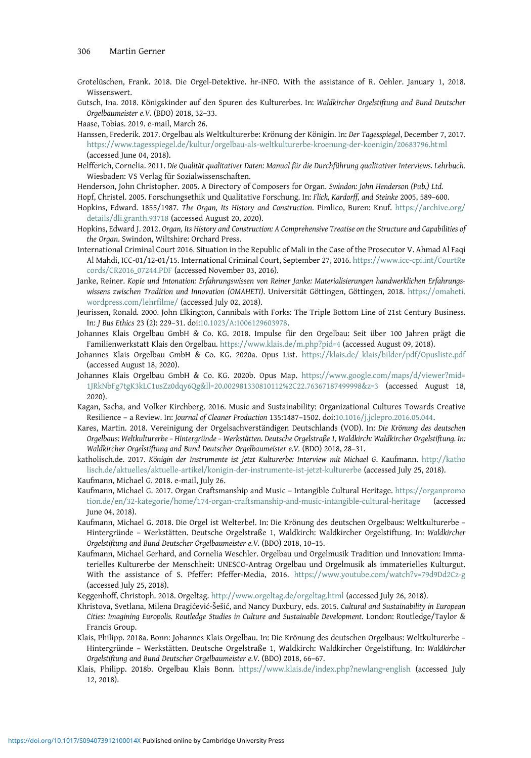- <span id="page-21-0"></span>Grotelüschen, Frank. 2018. Die Orgel-Detektive. hr-iNFO. With the assistance of R. Oehler. January 1, 2018. Wissenswert.
- Gutsch, Ina. 2018. Königskinder auf den Spuren des Kulturerbes. In: Waldkircher Orgelstiftung and Bund Deutscher Orgelbaumeister e.V. (BDO) 2018, 32–33.

- Hanssen, Frederik. 2017. Orgelbau als Weltkulturerbe: Krönung der Königin. In: Der Tagesspiegel, December 7, 2017. <https://www.tagesspiegel.de/kultur/orgelbau-als-weltkulturerbe-kroenung-der-koenigin/20683796.html> (accessed June 04, 2018).
- Helfferich, Cornelia. 2011. Die Qualität qualitativer Daten: Manual für die Durchführung qualitativer Interviews. Lehrbuch. Wiesbaden: VS Verlag für Sozialwissenschaften.
- Henderson, John Christopher. 2005. A Directory of Composers for Organ. Swindon: John Henderson (Pub.) Ltd.
- Hopf, Christel. 2005. Forschungsethik und Qualitative Forschung. In: Flick, Kardorff, and Steinke 2005, 589–600. Hopkins, Edward. 1855/1987. The Organ, Its History and Construction. Pimlico, Buren: Knuf. [https://archive.org/](https://archive.org/details/dli.granth.93718) [details/dli.granth.93718](https://archive.org/details/dli.granth.93718) (accessed August 20, 2020).
- Hopkins, Edward J. 2012. Organ, Its History and Construction: A Comprehensive Treatise on the Structure and Capabilities of the Organ. Swindon, Wiltshire: Orchard Press.
- International Criminal Court 2016. Situation in the Republic of Mali in the Case of the Prosecutor V. Ahmad Al Faqi Al Mahdi, ICC-01/12-01/15. International Criminal Court, September 27, 2016. [https://www.icc-cpi.int/CourtRe](https://www.icc-cpi.int/CourtRecords/CR2016_07244.PDF) [cords/CR2016\\_07244.PDF](https://www.icc-cpi.int/CourtRecords/CR2016_07244.PDF) (accessed November 03, 2016).
- Janke, Reiner. Kopie und Intonation: Erfahrungswissen von Reiner Janke: Materialisierungen handwerklichen Erfahrungswissens zwischen Tradition und Innovation (OMAHETI). Universität Göttingen, Göttingen, 2018. [https://omaheti.](https://omaheti.wordpress.com/lehrfilme/) [wordpress.com/lehrfilme/](https://omaheti.wordpress.com/lehrfilme/) (accessed July 02, 2018).
- Jeurissen, Ronald. 2000. John Elkington, Cannibals with Forks: The Triple Bottom Line of 21st Century Business. In: J Bus Ethics 23 (2): 229–31. doi:[10.1023/A:1006129603978.](https://doi.org/10.1023/A:1006129603978)
- Johannes Klais Orgelbau GmbH & Co. KG. 2018. Impulse für den Orgelbau: Seit über 100 Jahren prägt die Familienwerkstatt Klais den Orgelbau. <https://www.klais.de/m.php?pid=4> (accessed August 09, 2018).
- Johannes Klais Orgelbau GmbH & Co. KG. 2020a. Opus List. [https://klais.de/\\_klais/bilder/pdf/Opusliste.pdf](https://klais.de/_klais/bilder/pdf/Opusliste.pdf) (accessed August 18, 2020).
- Johannes Klais Orgelbau GmbH & Co. KG. 2020b. Opus Map. [https://www.google.com/maps/d/viewer?mid=](https://www.google.com/maps/d/viewer?mid=1JRkNbFg7tgK3kLC1usZz0dqy6Qgll=20.002981330810112%2C22.76367187499998z=3) [1JRkNbFg7tgK3kLC1usZz0dqy6Qg&ll=20.002981330810112%2C22.76367187499998&z=3](https://www.google.com/maps/d/viewer?mid=1JRkNbFg7tgK3kLC1usZz0dqy6Qgll=20.002981330810112%2C22.76367187499998z=3) (accessed August 18, 2020).
- Kagan, Sacha, and Volker Kirchberg. 2016. Music and Sustainability: Organizational Cultures Towards Creative Resilience – a Review. In: Journal of Cleaner Production 135:1487–1502. doi[:10.1016/j.jclepro.2016.05.044](https://doi.org/10.1016/j.jclepro.2016.05.044).
- Kares, Martin. 2018. Vereinigung der Orgelsachverständigen Deutschlands (VOD). In: Die Krönung des deutschen Orgelbaus: Weltkulturerbe – Hintergründe – Werkstätten. Deutsche Orgelstraße 1, Waldkirch: Waldkircher Orgelstiftung. In: Waldkircher Orgelstiftung and Bund Deutscher Orgelbaumeister e.V. (BDO) 2018, 28–31.
- katholisch.de. 2017. Königin der Instrumente ist jetzt Kulturerbe: Interview mit Michael G. Kaufmann. [http://katho](http://katholisch.de/aktuelles/aktuelle-artikel/konigin-der-instrumente-ist-jetzt-kulturerbe) [lisch.de/aktuelles/aktuelle-artikel/konigin-der-instrumente-ist-jetzt-kulturerbe](http://katholisch.de/aktuelles/aktuelle-artikel/konigin-der-instrumente-ist-jetzt-kulturerbe) (accessed July 25, 2018).
- Kaufmann, Michael G. 2018. e-mail, July 26.
- Kaufmann, Michael G. 2017. Organ Craftsmanship and Music Intangible Cultural Heritage. [https://organpromo](https://organpromotion.de/en/32-kategorie/home/174-organ-craftsmanship-and-music-intangible-cultural-heritage) [tion.de/en/32-kategorie/home/174-organ-craftsmanship-and-music-intangible-cultural-heritage](https://organpromotion.de/en/32-kategorie/home/174-organ-craftsmanship-and-music-intangible-cultural-heritage) (accessed June 04, 2018).
- Kaufmann, Michael G. 2018. Die Orgel ist Welterbe!. In: Die Krönung des deutschen Orgelbaus: Weltkulturerbe Hintergründe – Werkstätten. Deutsche Orgelstraße 1, Waldkirch: Waldkircher Orgelstiftung. In: Waldkircher Orgelstiftung and Bund Deutscher Orgelbaumeister e.V. (BDO) 2018, 10–15.
- Kaufmann, Michael Gerhard, and Cornelia Weschler. Orgelbau und Orgelmusik Tradition und Innovation: Immaterielles Kulturerbe der Menschheit: UNESCO-Antrag Orgelbau und Orgelmusik als immaterielles Kulturgut. With the assistance of S. Pfeffer: Pfeffer-Media, 2016. <https://www.youtube.com/watch?v=79d9Dd2Cz-g> (accessed July 25, 2018).
- Keggenhoff, Christoph. 2018. Orgeltag. <http://www.orgeltag.de/orgeltag.html> (accessed July 26, 2018).
- Khristova, Svetlana, Milena Dragićević-Šešić, and Nancy Duxbury, eds. 2015. Cultural and Sustainability in European Cities: Imagining Europolis. Routledge Studies in Culture and Sustainable Development. London: Routledge/Taylor & Francis Group.
- Klais, Philipp. 2018a. Bonn: Johannes Klais Orgelbau. In: Die Krönung des deutschen Orgelbaus: Weltkulturerbe Hintergründe – Werkstätten. Deutsche Orgelstraße 1, Waldkirch: Waldkircher Orgelstiftung. In: Waldkircher Orgelstiftung and Bund Deutscher Orgelbaumeister e.V. (BDO) 2018, 66–67.
- Klais, Philipp. 2018b. Orgelbau Klais Bonn. <https://www.klais.de/index.php?newlang=english> (accessed July 12, 2018).

Haase, Tobias. 2019. e-mail, March 26.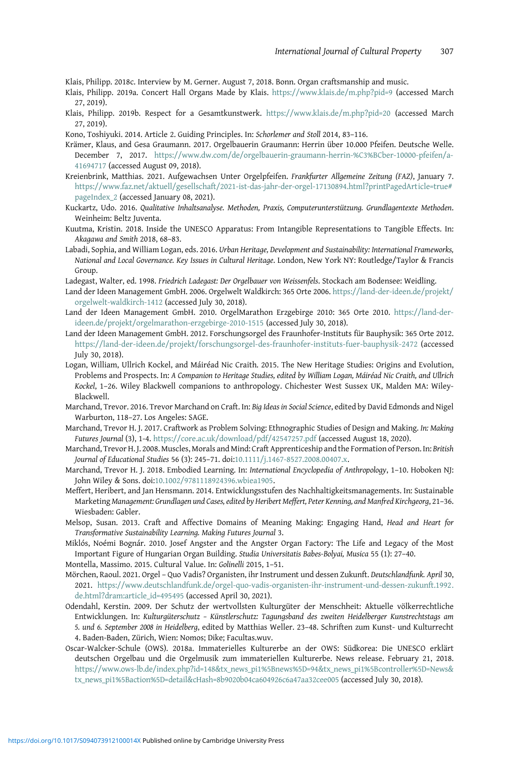<span id="page-22-0"></span>Klais, Philipp. 2018c. Interview by M. Gerner. August 7, 2018. Bonn. Organ craftsmanship and music.

- Klais, Philipp. 2019a. Concert Hall Organs Made by Klais. <https://www.klais.de/m.php?pid=9> (accessed March 27, 2019).
- Klais, Philipp. 2019b. Respect for a Gesamtkunstwerk. <https://www.klais.de/m.php?pid=20> (accessed March 27, 2019).

Kono, Toshiyuki. 2014. Article 2. Guiding Principles. In: Schorlemer and Stoll 2014, 83–116.

- Krämer, Klaus, and Gesa Graumann. 2017. Orgelbauerin Graumann: Herrin über 10.000 Pfeifen. Deutsche Welle. December 7, 2017. [https://www.dw.com/de/orgelbauerin-graumann-herrin-%C3%BCber-10000-pfeifen/a-](https://www.dw.com/de/orgelbauerin-graumann-herrin-%C3%BCber-10000-pfeifen/a-41694717)[41694717](https://www.dw.com/de/orgelbauerin-graumann-herrin-%C3%BCber-10000-pfeifen/a-41694717) (accessed August 09, 2018).
- Kreienbrink, Matthias. 2021. Aufgewachsen Unter Orgelpfeifen. Frankfurter Allgemeine Zeitung (FAZ), January 7. [https://www.faz.net/aktuell/gesellschaft/2021-ist-das-jahr-der-orgel-17130894.html?printPagedArticle=true#](https://www.faz.net/aktuell/gesellschaft/2021-ist-das-jahr-der-orgel-17130894.html?printPagedArticle=true#pageIndex_2) [pageIndex\\_2](https://www.faz.net/aktuell/gesellschaft/2021-ist-das-jahr-der-orgel-17130894.html?printPagedArticle=true#pageIndex_2) (accessed January 08, 2021).
- Kuckartz, Udo. 2016. Qualitative Inhaltsanalyse. Methoden, Praxis, Computerunterstützung. Grundlagentexte Methoden. Weinheim: Beltz Juventa.
- Kuutma, Kristin. 2018. Inside the UNESCO Apparatus: From Intangible Representations to Tangible Effects. In: Akagawa and Smith 2018, 68–83.
- Labadi, Sophia, and William Logan, eds. 2016. Urban Heritage, Development and Sustainability: International Frameworks, National and Local Governance. Key Issues in Cultural Heritage. London, New York NY: Routledge/Taylor & Francis Group.

Ladegast, Walter, ed. 1998. Friedrich Ladegast: Der Orgelbauer von Weissenfels. Stockach am Bodensee: Weidling.

- Land der Ideen Management GmbH. 2006. Orgelwelt Waldkirch: 365 Orte 2006. [https://land-der-ideen.de/projekt/](https://land-der-ideen.de/projekt/orgelwelt-waldkirch-1412) [orgelwelt-waldkirch-1412](https://land-der-ideen.de/projekt/orgelwelt-waldkirch-1412) (accessed July 30, 2018).
- Land der Ideen Management GmbH. 2010. OrgelMarathon Erzgebirge 2010: 365 Orte 2010. [https://land-der](https://land-der-ideen.de/projekt/orgelmarathon-erzgebirge-2010-1515)[ideen.de/projekt/orgelmarathon-erzgebirge-2010-1515](https://land-der-ideen.de/projekt/orgelmarathon-erzgebirge-2010-1515) (accessed July 30, 2018).
- Land der Ideen Management GmbH. 2012. Forschungsorgel des Fraunhofer-Instituts für Bauphysik: 365 Orte 2012. <https://land-der-ideen.de/projekt/forschungsorgel-des-fraunhofer-instituts-fuer-bauphysik-2472> (accessed July 30, 2018).
- Logan, William, Ullrich Kockel, and Máiréad Nic Craith. 2015. The New Heritage Studies: Origins and Evolution, Problems and Prospects. In: A Companion to Heritage Studies, edited by William Logan, Máiréad Nic Craith, and Ullrich Kockel, 1–26. Wiley Blackwell companions to anthropology. Chichester West Sussex UK, Malden MA: Wiley-Blackwell.
- Marchand, Trevor. 2016. Trevor Marchand on Craft. In: Big Ideas in Social Science, edited by David Edmonds and Nigel Warburton, 118–27. Los Angeles: SAGE.
- Marchand, Trevor H. J. 2017. Craftwork as Problem Solving: Ethnographic Studies of Design and Making. In: Making Futures Journal (3), 1-4. <https://core.ac.uk/download/pdf/42547257.pdf> (accessed August 18, 2020).
- Marchand, Trevor H. J. 2008. Muscles, Morals and Mind: Craft Apprenticeship and the Formation of Person. In: British Journal of Educational Studies 56 (3): 245–71. doi:[10.1111/j.1467-8527.2008.00407.x.](https://doi.org/10.1111/j.1467-8527.2008.00407.x)
- Marchand, Trevor H. J. 2018. Embodied Learning. In: International Encyclopedia of Anthropology, 1–10. Hoboken NJ: John Wiley & Sons. doi[:10.1002/9781118924396.wbiea1905](https://doi.org/10.1002/9781118924396.wbiea1905).
- Meffert, Heribert, and Jan Hensmann. 2014. Entwicklungsstufen des Nachhaltigkeitsmanagements. In: Sustainable Marketing Management: Grundlagen und Cases, edited by Heribert Meffert, Peter Kenning, and Manfred Kirchgeorg, 21–36. Wiesbaden: Gabler.
- Melsop, Susan. 2013. Craft and Affective Domains of Meaning Making: Engaging Hand, Head and Heart for Transformative Sustainability Learning. Making Futures Journal 3.
- Miklós, Noémi Bognár. 2010. Josef Angster and the Angster Organ Factory: The Life and Legacy of the Most Important Figure of Hungarian Organ Building. Studia Universitatis Babes-Bolyai, Musica 55 (1): 27–40.
- Montella, Massimo. 2015. Cultural Value. In: Golinelli 2015, 1–51.
- Mörchen, Raoul. 2021. Orgel Quo Vadis? Organisten, ihr Instrument und dessen Zukunft. Deutschlandfunk. April 30, 2021. [https://www.deutschlandfunk.de/orgel-quo-vadis-organisten-ihr-instrument-und-dessen-zukunft.1992.](https://www.deutschlandfunk.de/orgel-quo-vadis-organisten-ihr-instrument-und-dessen-zukunft.1992.de.html?dram:article_id=495495) [de.html?dram:article\\_id=495495](https://www.deutschlandfunk.de/orgel-quo-vadis-organisten-ihr-instrument-und-dessen-zukunft.1992.de.html?dram:article_id=495495) (accessed April 30, 2021).
- Odendahl, Kerstin. 2009. Der Schutz der wertvollsten Kulturgüter der Menschheit: Aktuelle völkerrechtliche Entwicklungen. In: Kulturgüterschutz – Künstlerschutz: Tagungsband des zweiten Heidelberger Kunstrechtstags am 5. und 6. September 2008 in Heidelberg, edited by Matthias Weller. 23–48. Schriften zum Kunst- und Kulturrecht 4. Baden-Baden, Zürich, Wien: Nomos; Dike; Facultas.wuv.
- Oscar-Walcker-Schule (OWS). 2018a. Immaterielles Kulturerbe an der OWS: Südkorea: Die UNESCO erklärt deutschen Orgelbau und die Orgelmusik zum immateriellen Kulturerbe. News release. February 21, 2018. [https://www.ows-lb.de/index.php?id=148&tx\\_news\\_pi1%5Bnews%5D=94&tx\\_news\\_pi1%5Bcontroller%5D=News&](https://www.ows-lb.de/index.php?id=148tx_news_pi1%5Bnews%5D=94tx_news_pi1%5Bcontroller%5D=Newstx_news_pi1%5Baction%5D=detailcHash=8b9020b04ca604926c6a47aa32cee005) [tx\\_news\\_pi1%5Baction%5D=detail&cHash=8b9020b04ca604926c6a47aa32cee005](https://www.ows-lb.de/index.php?id=148tx_news_pi1%5Bnews%5D=94tx_news_pi1%5Bcontroller%5D=Newstx_news_pi1%5Baction%5D=detailcHash=8b9020b04ca604926c6a47aa32cee005) (accessed July 30, 2018).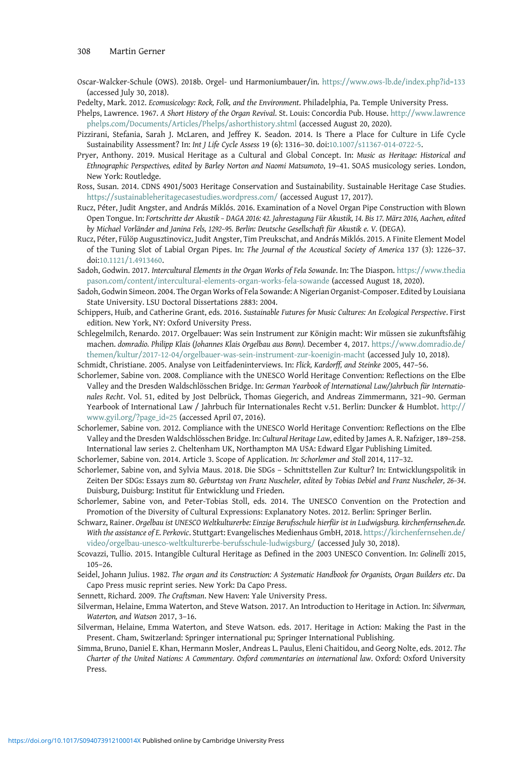- <span id="page-23-0"></span>Oscar-Walcker-Schule (OWS). 2018b. Orgel- und Harmoniumbauer/in. <https://www.ows-lb.de/index.php?id=133> (accessed July 30, 2018).
- Pedelty, Mark. 2012. Ecomusicology: Rock, Folk, and the Environment. Philadelphia, Pa. Temple University Press.
- Phelps, Lawrence. 1967. A Short History of the Organ Revival. St. Louis: Concordia Pub. House. [http://www.lawrence](http://www.lawrencephelps.com/Documents/Articles/Phelps/ashorthistory.shtml) [phelps.com/Documents/Articles/Phelps/ashorthistory.shtml](http://www.lawrencephelps.com/Documents/Articles/Phelps/ashorthistory.shtml) (accessed August 20, 2020).
- Pizzirani, Stefania, Sarah J. McLaren, and Jeffrey K. Seadon. 2014. Is There a Place for Culture in Life Cycle Sustainability Assessment? In: Int J Life Cycle Assess 19 (6): 1316–30. doi[:10.1007/s11367-014-0722-5.](https://doi.org/10.1007/s11367-014-0722-5)
- Pryer, Anthony. 2019. Musical Heritage as a Cultural and Global Concept. In: Music as Heritage: Historical and Ethnographic Perspectives, edited by Barley Norton and Naomi Matsumoto, 19–41. SOAS musicology series. London, New York: Routledge.
- Ross, Susan. 2014. CDNS 4901/5003 Heritage Conservation and Sustainability. Sustainable Heritage Case Studies. <https://sustainableheritagecasestudies.wordpress.com/> (accessed August 17, 2017).
- Rucz, Péter, Judit Angster, and András Miklós. 2016. Examination of a Novel Organ Pipe Construction with Blown Open Tongue. In: Fortschritte der Akustik – DAGA 2016: 42. Jahrestagung Für Akustik, 14. Bis 17. März 2016, Aachen, edited by Michael Vorländer and Janina Fels, 1292–95. Berlin: Deutsche Gesellschaft für Akustik e. V. (DEGA).
- Rucz, Péter, Fülöp Augusztinovicz, Judit Angster, Tim Preukschat, and András Miklós. 2015. A Finite Element Model of the Tuning Slot of Labial Organ Pipes. In: The Journal of the Acoustical Society of America 137 (3): 1226–37. doi[:10.1121/1.4913460.](https://doi.org/10.1121/1.4913460)
- Sadoh, Godwin. 2017. Intercultural Elements in the Organ Works of Fela Sowande. In: The Diaspon. [https://www.thedia](https://www.thediapason.com/content/intercultural-elements-organ-works-fela-sowande) [pason.com/content/intercultural-elements-organ-works-fela-sowande](https://www.thediapason.com/content/intercultural-elements-organ-works-fela-sowande) (accessed August 18, 2020).
- Sadoh, Godwin Simeon. 2004. The Organ Works of Fela Sowande: A Nigerian Organist-Composer. Edited by Louisiana State University. LSU Doctoral Dissertations 2883: 2004.
- Schippers, Huib, and Catherine Grant, eds. 2016. Sustainable Futures for Music Cultures: An Ecological Perspective. First edition. New York, NY: Oxford University Press.
- Schlegelmilch, Renardo. 2017. Orgelbauer: Was sein Instrument zur Königin macht: Wir müssen sie zukunftsfähig machen. domradio. Philipp Klais (Johannes Klais Orgelbau aus Bonn). December 4, 2017. [https://www.domradio.de/](https://www.domradio.de/themen/kultur/2017-12-04/orgelbauer-was-sein-instrument-zur-koenigin-macht) [themen/kultur/2017-12-04/orgelbauer-was-sein-instrument-zur-koenigin-macht](https://www.domradio.de/themen/kultur/2017-12-04/orgelbauer-was-sein-instrument-zur-koenigin-macht) (accessed July 10, 2018).
- Schmidt, Christiane. 2005. Analyse von Leitfadeninterviews. In: Flick, Kardorff, and Steinke 2005, 447–56.
- Schorlemer, Sabine von. 2008. Compliance with the UNESCO World Heritage Convention: Reflections on the Elbe Valley and the Dresden Waldschlösschen Bridge. In: German Yearbook of International Law/Jahrbuch für Internationales Recht. Vol. 51, edited by Jost Delbrück, Thomas Giegerich, and Andreas Zimmermann, 321–90. German Yearbook of International Law / Jahrbuch für Internationales Recht v.51. Berlin: Duncker & Humblot. [http://](http://www.gyil.org/?page_id=25) [www.gyil.org/?page\\_id=25](http://www.gyil.org/?page_id=25) (accessed April 07, 2016).
- Schorlemer, Sabine von. 2012. Compliance with the UNESCO World Heritage Convention: Reflections on the Elbe Valley and the Dresden Waldschlösschen Bridge. In: Cultural Heritage Law, edited by James A. R. Nafziger, 189–258. International law series 2. Cheltenham UK, Northampton MA USA: Edward Elgar Publishing Limited.
- Schorlemer, Sabine von. 2014. Article 3. Scope of Application. In: Schorlemer and Stoll 2014, 117–32.
- Schorlemer, Sabine von, and Sylvia Maus. 2018. Die SDGs Schnittstellen Zur Kultur? In: Entwicklungspolitik in Zeiten Der SDGs: Essays zum 80. Geburtstag von Franz Nuscheler, edited by Tobias Debiel and Franz Nuscheler, 26–34. Duisburg, Duisburg: Institut für Entwicklung und Frieden.
- Schorlemer, Sabine von, and Peter-Tobias Stoll, eds. 2014. The UNESCO Convention on the Protection and Promotion of the Diversity of Cultural Expressions: Explanatory Notes. 2012. Berlin: Springer Berlin.
- Schwarz, Rainer. Orgelbau ist UNESCO Weltkulturerbe: Einzige Berufsschule hierfür ist in Ludwigsburg. kirchenfernsehen.de. With the assistance of E. Perkovic. Stuttgart: Evangelisches Medienhaus GmbH, 2018. [https://kirchenfernsehen.de/](https://kirchenfernsehen.de/video/orgelbau-unesco-weltkulturerbe-berufsschule-ludwigsburg/) [video/orgelbau-unesco-weltkulturerbe-berufsschule-ludwigsburg/](https://kirchenfernsehen.de/video/orgelbau-unesco-weltkulturerbe-berufsschule-ludwigsburg/) (accessed July 30, 2018).
- Scovazzi, Tullio. 2015. Intangible Cultural Heritage as Defined in the 2003 UNESCO Convention. In: Golinelli 2015, 105–26.
- Seidel, Johann Julius. 1982. The organ and its Construction: A Systematic Handbook for Organists, Organ Builders etc. Da Capo Press music reprint series. New York: Da Capo Press.
- Sennett, Richard. 2009. The Craftsman. New Haven: Yale University Press.
- Silverman, Helaine, Emma Waterton, and Steve Watson. 2017. An Introduction to Heritage in Action. In: Silverman, Waterton, and Watson 2017, 3–16.
- Silverman, Helaine, Emma Waterton, and Steve Watson. eds. 2017. Heritage in Action: Making the Past in the Present. Cham, Switzerland: Springer international pu; Springer International Publishing.
- Simma, Bruno, Daniel E. Khan, Hermann Mosler, Andreas L. Paulus, Eleni Chaitidou, and Georg Nolte, eds. 2012. The Charter of the United Nations: A Commentary. Oxford commentaries on international law. Oxford: Oxford University Press.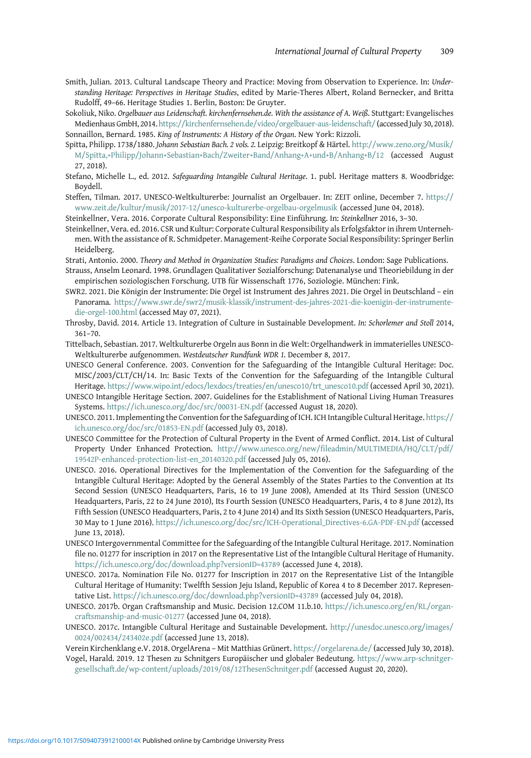- <span id="page-24-0"></span>Smith, Julian. 2013. Cultural Landscape Theory and Practice: Moving from Observation to Experience. In: Understanding Heritage: Perspectives in Heritage Studies, edited by Marie-Theres Albert, Roland Bernecker, and Britta Rudolff, 49–66. Heritage Studies 1. Berlin, Boston: De Gruyter.
- Sokoliuk, Niko. Orgelbauer aus Leidenschaft. kirchenfernsehen.de. With the assistance of A. Weiß. Stuttgart: Evangelisches Medienhaus GmbH, 2014. <https://kirchenfernsehen.de/video/orgelbauer-aus-leidenschaft/> (accessed July 30, 2018). Sonnaillon, Bernard. 1985. King of Instruments: A History of the Organ. New York: Rizzoli.
- Spitta, Philipp. 1738/1880. Johann Sebastian Bach. 2 vols. 2. Leipzig: Breitkopf & Härtel. [http://www.zeno.org/Musik/](http://www.zeno.org/Musik/M/Spitta,+Philipp/Johann+Sebastian+Bach/Zweiter+Band/Anhang+A+und+B/Anhang+B/12) [M/Spitta,+Philipp/Johann+Sebastian+Bach/Zweiter+Band/Anhang+A+und+B/Anhang+B/12](http://www.zeno.org/Musik/M/Spitta,+Philipp/Johann+Sebastian+Bach/Zweiter+Band/Anhang+A+und+B/Anhang+B/12) (accessed August 27, 2018).
- Stefano, Michelle L., ed. 2012. Safeguarding Intangible Cultural Heritage. 1. publ. Heritage matters 8. Woodbridge: Boydell.
- Steffen, Tilman. 2017. UNESCO-Weltkulturerbe: Journalist an Orgelbauer. In: ZEIT online, December 7. [https://](https://www.zeit.de/kultur/musik/2017-12/unesco-kulturerbe-orgelbau-orgelmusik) [www.zeit.de/kultur/musik/2017-12/unesco-kulturerbe-orgelbau-orgelmusik](https://www.zeit.de/kultur/musik/2017-12/unesco-kulturerbe-orgelbau-orgelmusik) (accessed June 04, 2018).

Steinkellner, Vera. 2016. Corporate Cultural Responsibility: Eine Einführung. In: Steinkellner 2016, 3–30.

Steinkellner, Vera. ed. 2016. CSR und Kultur: Corporate Cultural Responsibility als Erfolgsfaktor in ihrem Unternehmen. With the assistance of R. Schmidpeter. Management-Reihe Corporate Social Responsibility: Springer Berlin Heidelberg.

Strati, Antonio. 2000. Theory and Method in Organization Studies: Paradigms and Choices. London: Sage Publications.

- Strauss, Anselm Leonard. 1998. Grundlagen Qualitativer Sozialforschung: Datenanalyse und Theoriebildung in der empirischen soziologischen Forschung. UTB für Wissenschaft 1776, Soziologie. München: Fink.
- SWR2. 2021. Die Königin der Instrumente: Die Orgel ist Instrument des Jahres 2021. Die Orgel in Deutschland ein Panorama. [https://www.swr.de/swr2/musik-klassik/instrument-des-jahres-2021-die-koenigin-der-instrumente](https://www.swr.de/swr2/musik-klassik/instrument-des-jahres-2021-die-koenigin-der-instrumente-die-orgel-100.html)[die-orgel-100.html](https://www.swr.de/swr2/musik-klassik/instrument-des-jahres-2021-die-koenigin-der-instrumente-die-orgel-100.html) (accessed May 07, 2021).
- Throsby, David. 2014. Article 13. Integration of Culture in Sustainable Development. In: Schorlemer and Stoll 2014, 361–70.
- Tittelbach, Sebastian. 2017. Weltkulturerbe Orgeln aus Bonn in die Welt: Orgelhandwerk in immaterielles UNESCO-Weltkulturerbe aufgenommen. Westdeutscher Rundfunk WDR 1. December 8, 2017.
- UNESCO General Conference. 2003. Convention for the Safeguarding of the Intangible Cultural Heritage: Doc. MISC/2003/CLT/CH/14. In: Basic Texts of the Convention for the Safeguarding of the Intangible Cultural Heritage. [https://www.wipo.int/edocs/lexdocs/treaties/en/unesco10/trt\\_unesco10.pdf](https://www.wipo.int/edocs/lexdocs/treaties/en/unesco10/trt_unesco10.pdf) (accessed April 30, 2021).
- UNESCO Intangible Heritage Section. 2007. Guidelines for the Establishment of National Living Human Treasures Systems. <https://ich.unesco.org/doc/src/00031-EN.pdf> (accessed August 18, 2020).
- UNESCO. 2011. Implementing the Convention for the Safeguarding of ICH. ICH Intangible Cultural Heritage. [https://](https://ich.unesco.org/doc/src/01853-EN.pdf) [ich.unesco.org/doc/src/01853-EN.pdf](https://ich.unesco.org/doc/src/01853-EN.pdf) (accessed July 03, 2018).
- UNESCO Committee for the Protection of Cultural Property in the Event of Armed Conflict. 2014. List of Cultural Property Under Enhanced Protection. [http://www.unesco.org/new/fileadmin/MULTIMEDIA/HQ/CLT/pdf/](http://www.unesco.org/new/fileadmin/MULTIMEDIA/HQ/CLT/pdf/19542P-enhanced-protection-list-en_20140320.pdf) [19542P-enhanced-protection-list-en\\_20140320.pdf](http://www.unesco.org/new/fileadmin/MULTIMEDIA/HQ/CLT/pdf/19542P-enhanced-protection-list-en_20140320.pdf) (accessed July 05, 2016).
- UNESCO. 2016. Operational Directives for the Implementation of the Convention for the Safeguarding of the Intangible Cultural Heritage: Adopted by the General Assembly of the States Parties to the Convention at Its Second Session (UNESCO Headquarters, Paris, 16 to 19 June 2008), Amended at Its Third Session (UNESCO Headquarters, Paris, 22 to 24 June 2010), Its Fourth Session (UNESCO Headquarters, Paris, 4 to 8 June 2012), Its Fifth Session (UNESCO Headquarters, Paris, 2 to 4 June 2014) and Its Sixth Session (UNESCO Headquarters, Paris, 30 May to 1 June 2016). [https://ich.unesco.org/doc/src/ICH-Operational\\_Directives-6.GA-PDF-EN.pdf](https://ich.unesco.org/doc/src/ICH-Operational_Directives-6.GA-PDF-EN.pdf) (accessed June 13, 2018).
- UNESCO Intergovernmental Committee for the Safeguarding of the Intangible Cultural Heritage. 2017. Nomination file no. 01277 for inscription in 2017 on the Representative List of the Intangible Cultural Heritage of Humanity. <https://ich.unesco.org/doc/download.php?versionID=43789> (accessed June 4, 2018).
- UNESCO. 2017a. Nomination File No. 01277 for Inscription in 2017 on the Representative List of the Intangible Cultural Heritage of Humanity: Twelfth Session Jeju Island, Republic of Korea 4 to 8 December 2017. Representative List. <https://ich.unesco.org/doc/download.php?versionID=43789> (accessed July 04, 2018).
- UNESCO. 2017b. Organ Craftsmanship and Music. Decision 12.COM 11.b.10. [https://ich.unesco.org/en/RL/organ](https://ich.unesco.org/en/RL/organ-craftsmanship-and-music-01277)[craftsmanship-and-music-01277](https://ich.unesco.org/en/RL/organ-craftsmanship-and-music-01277) (accessed June 04, 2018).
- UNESCO. 2017c. Intangible Cultural Heritage and Sustainable Development. [http://unesdoc.unesco.org/images/](http://unesdoc.unesco.org/images/0024/002434/243402e.pdf) [0024/002434/243402e.pdf](http://unesdoc.unesco.org/images/0024/002434/243402e.pdf) (accessed June 13, 2018).
- Verein Kirchenklang e.V. 2018. OrgelArena Mit Matthias Grünert. <https://orgelarena.de/> (accessed July 30, 2018).
- Vogel, Harald. 2019. 12 Thesen zu Schnitgers Europäischer und globaler Bedeutung. [https://www.arp-schnitger](https://www.arp-schnitger-gesellschaft.de/wp-content/uploads/2019/08/12ThesenSchnitger.pdf)[gesellschaft.de/wp-content/uploads/2019/08/12ThesenSchnitger.pdf](https://www.arp-schnitger-gesellschaft.de/wp-content/uploads/2019/08/12ThesenSchnitger.pdf) (accessed August 20, 2020).